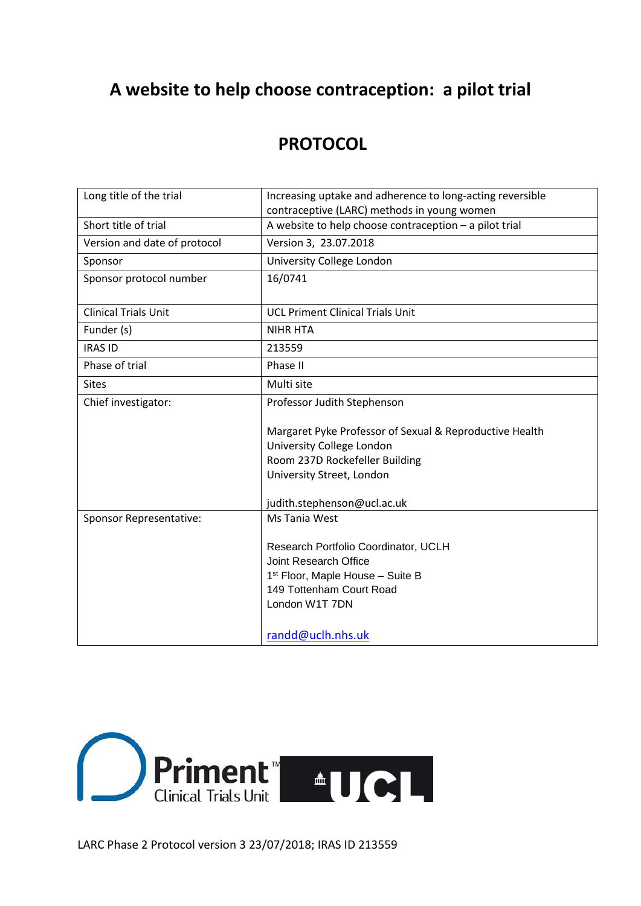# **A website to help choose contraception: a pilot trial**

# **PROTOCOL**

| Long title of the trial        | Increasing uptake and adherence to long-acting reversible<br>contraceptive (LARC) methods in young women                                                    |
|--------------------------------|-------------------------------------------------------------------------------------------------------------------------------------------------------------|
| Short title of trial           | A website to help choose contraception - a pilot trial                                                                                                      |
| Version and date of protocol   | Version 3, 23.07.2018                                                                                                                                       |
| Sponsor                        | University College London                                                                                                                                   |
| Sponsor protocol number        | 16/0741                                                                                                                                                     |
| <b>Clinical Trials Unit</b>    | <b>UCL Priment Clinical Trials Unit</b>                                                                                                                     |
| Funder (s)                     | <b>NIHR HTA</b>                                                                                                                                             |
| <b>IRAS ID</b>                 | 213559                                                                                                                                                      |
| Phase of trial                 | Phase II                                                                                                                                                    |
| <b>Sites</b>                   | Multi site                                                                                                                                                  |
| Chief investigator:            | Professor Judith Stephenson                                                                                                                                 |
|                                | Margaret Pyke Professor of Sexual & Reproductive Health<br>University College London                                                                        |
|                                | Room 237D Rockefeller Building<br>University Street, London                                                                                                 |
|                                |                                                                                                                                                             |
|                                | judith.stephenson@ucl.ac.uk                                                                                                                                 |
| <b>Sponsor Representative:</b> | Ms Tania West                                                                                                                                               |
|                                | Research Portfolio Coordinator, UCLH<br>Joint Research Office<br>1 <sup>st</sup> Floor, Maple House - Suite B<br>149 Tottenham Court Road<br>London W1T 7DN |
|                                | randd@uclh.nhs.uk                                                                                                                                           |

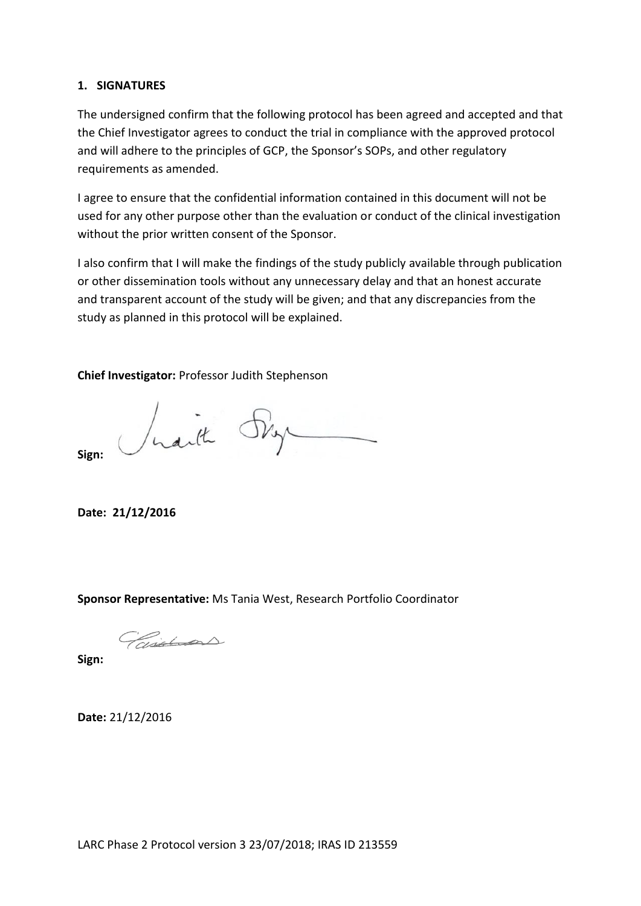#### <span id="page-1-0"></span>**1. SIGNATURES**

The undersigned confirm that the following protocol has been agreed and accepted and that the Chief Investigator agrees to conduct the trial in compliance with the approved protocol and will adhere to the principles of GCP, the Sponsor's SOPs, and other regulatory requirements as amended.

I agree to ensure that the confidential information contained in this document will not be used for any other purpose other than the evaluation or conduct of the clinical investigation without the prior written consent of the Sponsor.

I also confirm that I will make the findings of the study publicly available through publication or other dissemination tools without any unnecessary delay and that an honest accurate and transparent account of the study will be given; and that any discrepancies from the study as planned in this protocol will be explained.

**Chief Investigator:** Professor Judith Stephenson

**Sign:**

Jusith Sky

**Date: 21/12/2016**

**Sponsor Representative:** Ms Tania West, Research Portfolio Coordinator

Paintins

**Sign:**

**Date:** 21/12/2016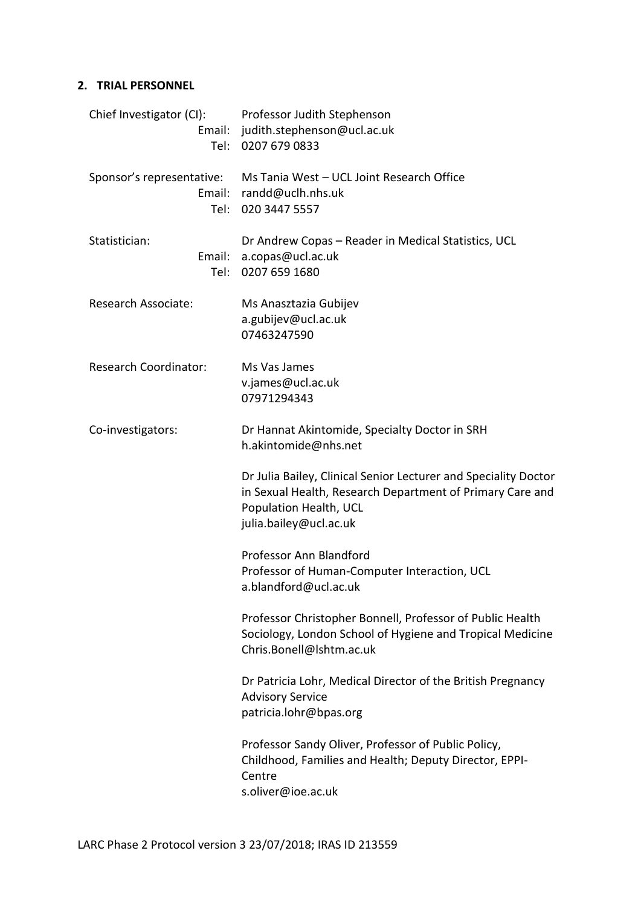# <span id="page-2-0"></span>**2. TRIAL PERSONNEL**

| Chief Investigator (CI):<br>Tel:            | Professor Judith Stephenson<br>Email: judith.stephenson@ucl.ac.uk<br>0207 679 0833                                                                                               |
|---------------------------------------------|----------------------------------------------------------------------------------------------------------------------------------------------------------------------------------|
| Sponsor's representative:<br>Email:<br>Tel: | Ms Tania West - UCL Joint Research Office<br>randd@uclh.nhs.uk<br>020 3447 5557                                                                                                  |
| Statistician:<br>Email:<br>Tel:             | Dr Andrew Copas - Reader in Medical Statistics, UCL<br>a.copas@ucl.ac.uk<br>0207 659 1680                                                                                        |
| Research Associate:                         | Ms Anasztazia Gubijev<br>a.gubijev@ucl.ac.uk<br>07463247590                                                                                                                      |
| <b>Research Coordinator:</b>                | Ms Vas James<br>v.james@ucl.ac.uk<br>07971294343                                                                                                                                 |
| Co-investigators:                           | Dr Hannat Akintomide, Specialty Doctor in SRH<br>h.akintomide@nhs.net                                                                                                            |
|                                             | Dr Julia Bailey, Clinical Senior Lecturer and Speciality Doctor<br>in Sexual Health, Research Department of Primary Care and<br>Population Health, UCL<br>julia.bailey@ucl.ac.uk |
|                                             | Professor Ann Blandford<br>Professor of Human-Computer Interaction, UCL<br>a.blandford@ucl.ac.uk                                                                                 |
|                                             | Professor Christopher Bonnell, Professor of Public Health<br>Sociology, London School of Hygiene and Tropical Medicine<br>Chris.Bonell@Ishtm.ac.uk                               |
|                                             | Dr Patricia Lohr, Medical Director of the British Pregnancy<br><b>Advisory Service</b><br>patricia.lohr@bpas.org                                                                 |
|                                             | Professor Sandy Oliver, Professor of Public Policy,<br>Childhood, Families and Health; Deputy Director, EPPI-<br>Centre<br>s.oliver@ioe.ac.uk                                    |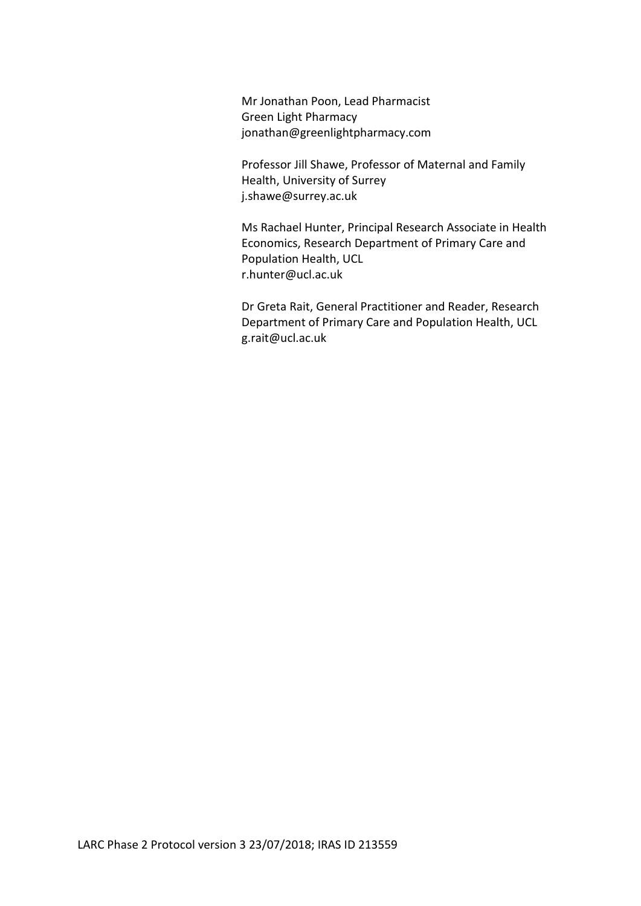Mr Jonathan Poon, Lead Pharmacist Green Light Pharmacy jonathan@greenlightpharmacy.com

Professor Jill Shawe, Professor of Maternal and Family Health, University of Surrey j.shawe@surrey.ac.uk

Ms Rachael Hunter, Principal Research Associate in Health Economics, Research Department of Primary Care and Population Health, UCL r.hunter@ucl.ac.uk

Dr Greta Rait, General Practitioner and Reader, Research Department of Primary Care and Population Health, UCL g.rait@ucl.ac.uk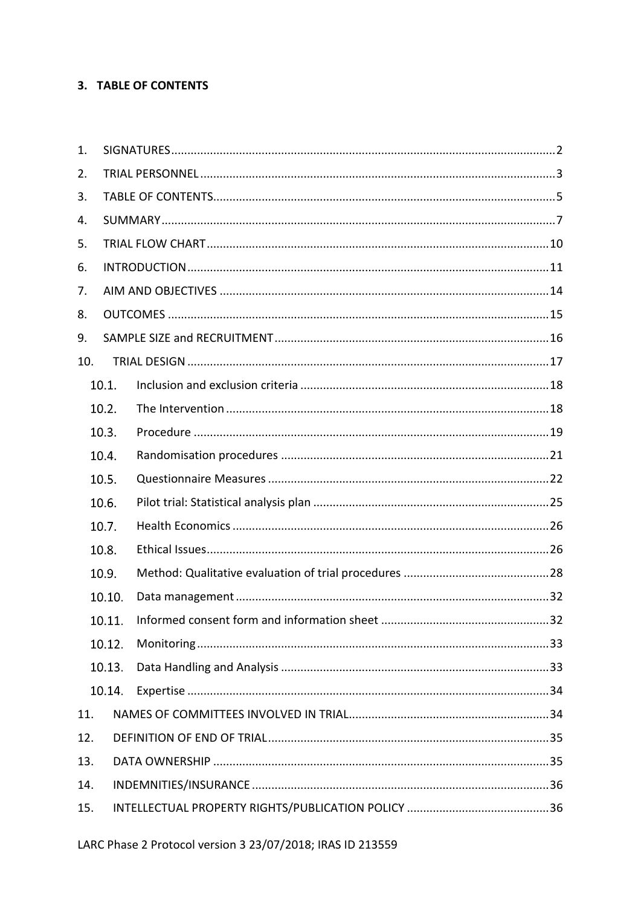# <span id="page-4-0"></span>3. TABLE OF CONTENTS

| 1.  |        |  |  |  |  |  |
|-----|--------|--|--|--|--|--|
| 2.  |        |  |  |  |  |  |
| 3.  |        |  |  |  |  |  |
| 4.  |        |  |  |  |  |  |
| 5.  |        |  |  |  |  |  |
| 6.  |        |  |  |  |  |  |
| 7.  |        |  |  |  |  |  |
| 8.  |        |  |  |  |  |  |
| 9.  |        |  |  |  |  |  |
| 10. |        |  |  |  |  |  |
|     | 10.1.  |  |  |  |  |  |
|     | 10.2.  |  |  |  |  |  |
|     | 10.3.  |  |  |  |  |  |
|     | 10.4.  |  |  |  |  |  |
|     | 10.5.  |  |  |  |  |  |
|     | 10.6.  |  |  |  |  |  |
|     | 10.7.  |  |  |  |  |  |
|     | 10.8.  |  |  |  |  |  |
|     | 10.9.  |  |  |  |  |  |
|     | 10.10. |  |  |  |  |  |
|     | 10.11. |  |  |  |  |  |
|     | 10.12. |  |  |  |  |  |
|     | 10.13. |  |  |  |  |  |
|     | 10.14. |  |  |  |  |  |
| 11. |        |  |  |  |  |  |
| 12. |        |  |  |  |  |  |
| 13. |        |  |  |  |  |  |
| 14. |        |  |  |  |  |  |
| 15. |        |  |  |  |  |  |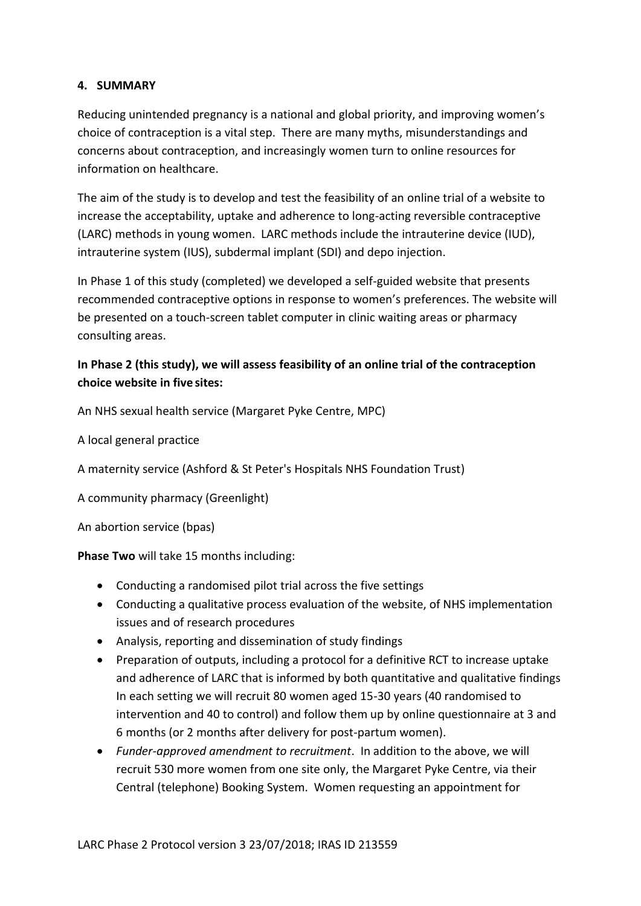# <span id="page-6-0"></span>**4. SUMMARY**

Reducing unintended pregnancy is a national and global priority, and improving women's choice of contraception is a vital step. There are many myths, misunderstandings and concerns about contraception, and increasingly women turn to online resources for information on healthcare.

The aim of the study is to develop and test the feasibility of an online trial of a website to increase the acceptability, uptake and adherence to long-acting reversible contraceptive (LARC) methods in young women. LARC methods include the intrauterine device (IUD), intrauterine system (IUS), subdermal implant (SDI) and depo injection.

In Phase 1 of this study (completed) we developed a self-guided website that presents recommended contraceptive options in response to women's preferences. The website will be presented on a touch-screen tablet computer in clinic waiting areas or pharmacy consulting areas.

# **In Phase 2 (this study), we will assess feasibility of an online trial of the contraception choice website in five sites:**

An NHS sexual health service (Margaret Pyke Centre, MPC)

A local general practice

A maternity service (Ashford & St Peter's Hospitals NHS Foundation Trust)

A community pharmacy (Greenlight)

An abortion service (bpas)

**Phase Two** will take 15 months including:

- Conducting a randomised pilot trial across the five settings
- Conducting a qualitative process evaluation of the website, of NHS implementation issues and of research procedures
- Analysis, reporting and dissemination of study findings
- Preparation of outputs, including a protocol for a definitive RCT to increase uptake and adherence of LARC that is informed by both quantitative and qualitative findings In each setting we will recruit 80 women aged 15-30 years (40 randomised to intervention and 40 to control) and follow them up by online questionnaire at 3 and 6 months (or 2 months after delivery for post-partum women).
- *Funder-approved amendment to recruitment*. In addition to the above, we will recruit 530 more women from one site only, the Margaret Pyke Centre, via their Central (telephone) Booking System. Women requesting an appointment for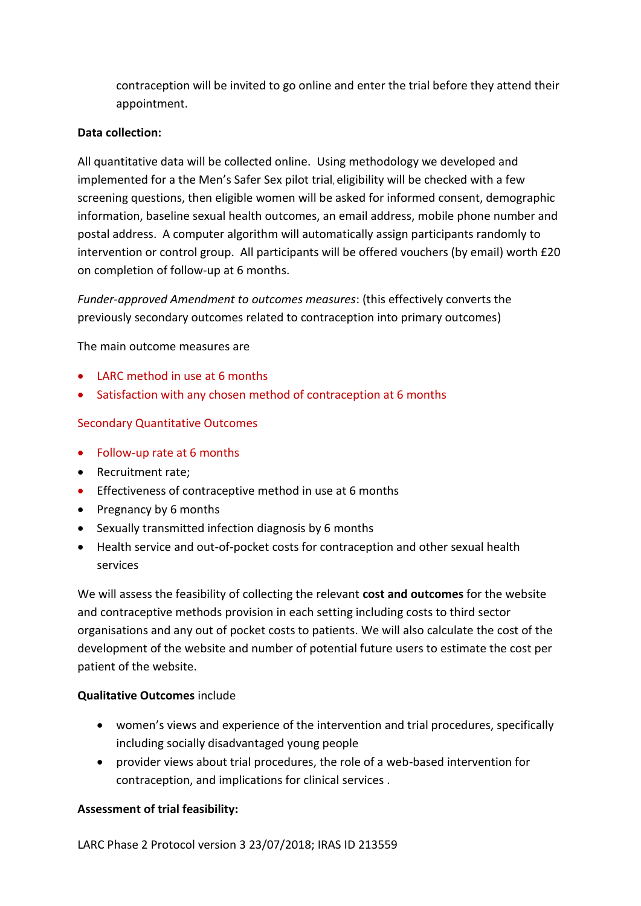contraception will be invited to go online and enter the trial before they attend their appointment.

#### **Data collection:**

All quantitative data will be collected online. Using methodology we developed and implemented for a the Men's Safer Sex pilot trial, eligibility will be checked with a few screening questions, then eligible women will be asked for informed consent, demographic information, baseline sexual health outcomes, an email address, mobile phone number and postal address. A computer algorithm will automatically assign participants randomly to intervention or control group. All participants will be offered vouchers (by email) worth £20 on completion of follow-up at 6 months.

*Funder-approved Amendment to outcomes measures*: (this effectively converts the previously secondary outcomes related to contraception into primary outcomes)

The main outcome measures are

- LARC method in use at 6 months
- Satisfaction with any chosen method of contraception at 6 months

#### Secondary Quantitative Outcomes

- Follow-up rate at 6 months
- Recruitment rate;
- **Effectiveness of contraceptive method in use at 6 months**
- Pregnancy by 6 months
- Sexually transmitted infection diagnosis by 6 months
- Health service and out-of-pocket costs for contraception and other sexual health services

We will assess the feasibility of collecting the relevant **cost and outcomes** for the website and contraceptive methods provision in each setting including costs to third sector organisations and any out of pocket costs to patients. We will also calculate the cost of the development of the website and number of potential future users to estimate the cost per patient of the website.

#### **Qualitative Outcomes** include

- women's views and experience of the intervention and trial procedures, specifically including socially disadvantaged young people
- provider views about trial procedures, the role of a web-based intervention for contraception, and implications for clinical services .

#### **Assessment of trial feasibility:**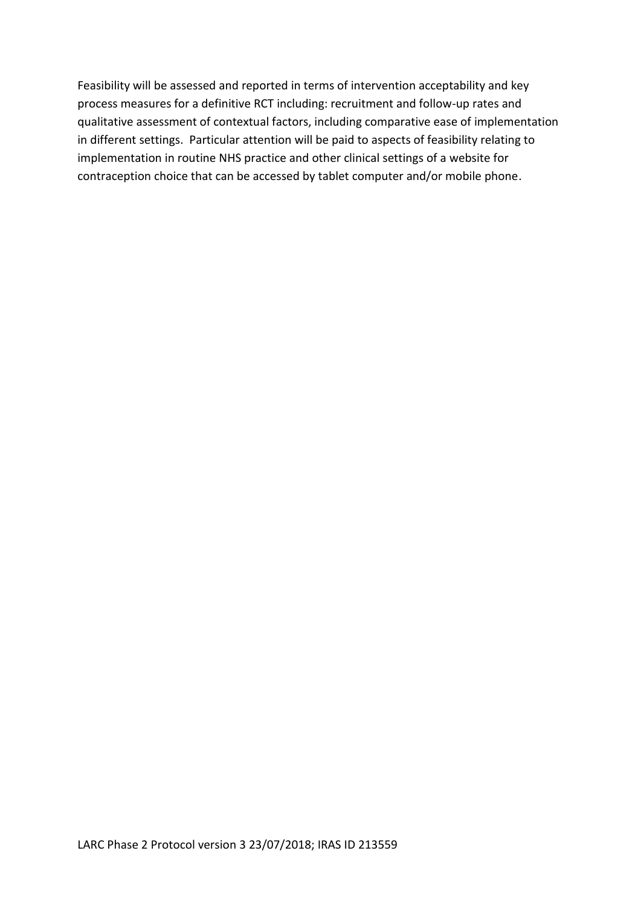Feasibility will be assessed and reported in terms of intervention acceptability and key process measures for a definitive RCT including: recruitment and follow-up rates and qualitative assessment of contextual factors, including comparative ease of implementation in different settings. Particular attention will be paid to aspects of feasibility relating to implementation in routine NHS practice and other clinical settings of a website for contraception choice that can be accessed by tablet computer and/or mobile phone.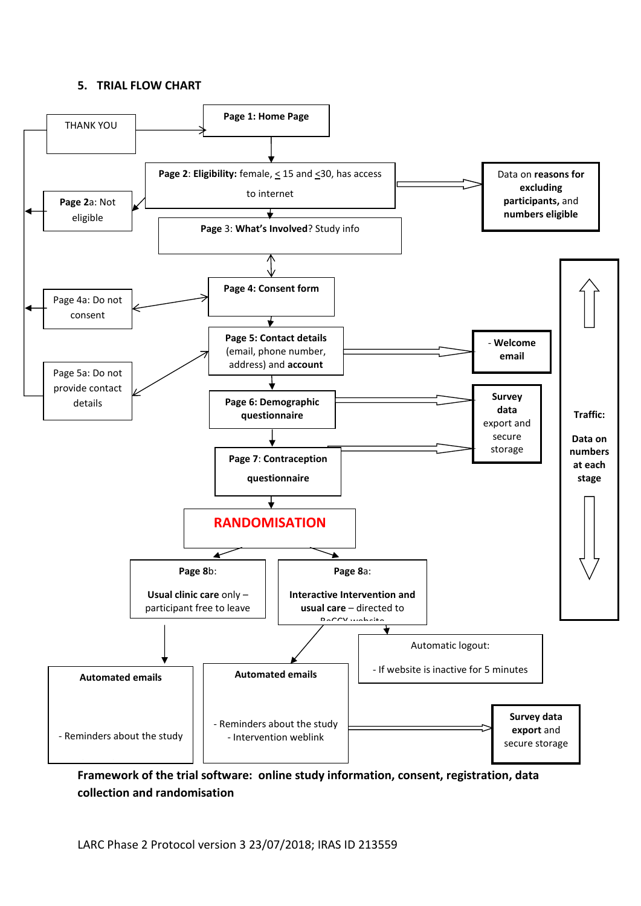#### <span id="page-9-0"></span>**5. TRIAL FLOW CHART**



**Framework of the trial software: online study information, consent, registration, data collection and randomisation**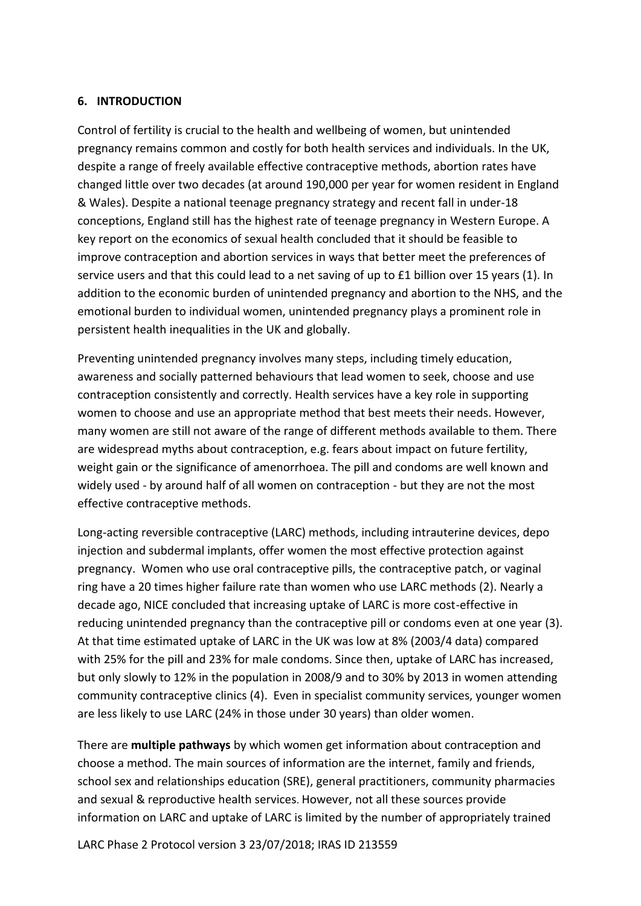#### <span id="page-10-0"></span>**6. INTRODUCTION**

Control of fertility is crucial to the health and wellbeing of women, but unintended pregnancy remains common and costly for both health services and individuals. In the UK, despite a range of freely available effective contraceptive methods, abortion rates have changed little over two decades (at around 190,000 per year for women resident in England & Wales). Despite a national teenage pregnancy strategy and recent fall in under-18 conceptions, England still has the highest rate of teenage pregnancy in Western Europe. A key report on the economics of sexual health concluded that it should be feasible to improve contraception and abortion services in ways that better meet the preferences of service users and that this could lead to a net saving of up to £1 billion over 15 years (1). In addition to the economic burden of unintended pregnancy and abortion to the NHS, and the emotional burden to individual women, unintended pregnancy plays a prominent role in persistent health inequalities in the UK and globally.

Preventing unintended pregnancy involves many steps, including timely education, awareness and socially patterned behaviours that lead women to seek, choose and use contraception consistently and correctly. Health services have a key role in supporting women to choose and use an appropriate method that best meets their needs. However, many women are still not aware of the range of different methods available to them. There are widespread myths about contraception, e.g. fears about impact on future fertility, weight gain or the significance of amenorrhoea. The pill and condoms are well known and widely used - by around half of all women on contraception - but they are not the most effective contraceptive methods.

Long-acting reversible contraceptive (LARC) methods, including intrauterine devices, depo injection and subdermal implants, offer women the most effective protection against pregnancy. Women who use oral contraceptive pills, the contraceptive patch, or vaginal ring have a 20 times higher failure rate than women who use LARC methods (2). Nearly a decade ago, NICE concluded that increasing uptake of LARC is more cost-effective in reducing unintended pregnancy than the contraceptive pill or condoms even at one year (3). At that time estimated uptake of LARC in the UK was low at 8% (2003/4 data) compared with 25% for the pill and 23% for male condoms. Since then, uptake of LARC has increased, but only slowly to 12% in the population in 2008/9 and to 30% by 2013 in women attending community contraceptive clinics (4). Even in specialist community services, younger women are less likely to use LARC (24% in those under 30 years) than older women.

There are **multiple pathways** by which women get information about contraception and choose a method. The main sources of information are the internet, family and friends, school sex and relationships education (SRE), general practitioners, community pharmacies and sexual & reproductive health services. However, not all these sources provide information on LARC and uptake of LARC is limited by the number of appropriately trained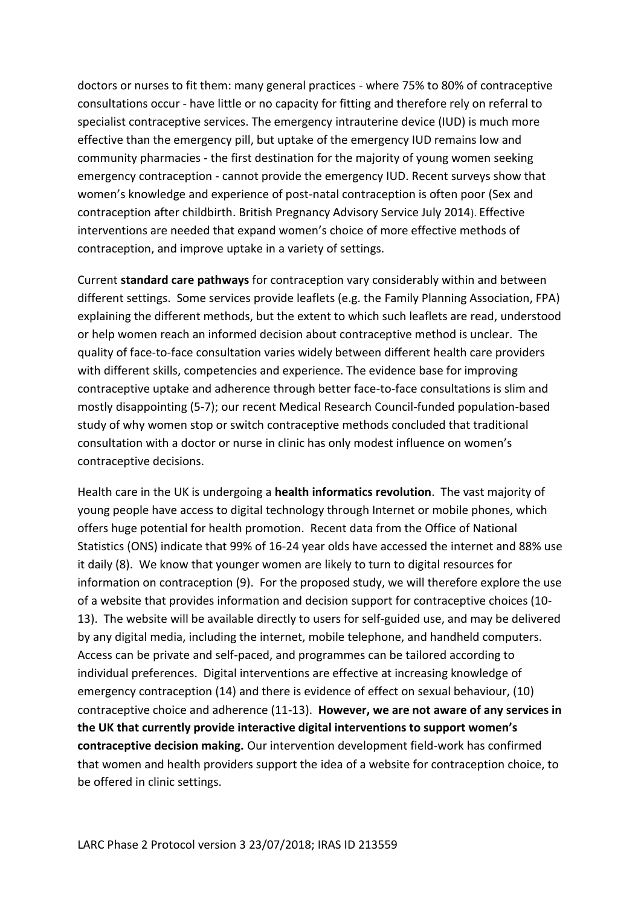doctors or nurses to fit them: many general practices - where 75% to 80% of contraceptive consultations occur - have little or no capacity for fitting and therefore rely on referral to specialist contraceptive services. The emergency intrauterine device (IUD) is much more effective than the emergency pill, but uptake of the emergency IUD remains low and community pharmacies - the first destination for the majority of young women seeking emergency contraception - cannot provide the emergency IUD. Recent surveys show that women's knowledge and experience of post-natal contraception is often poor (Sex and contraception after childbirth. British Pregnancy Advisory Service July 2014). Effective interventions are needed that expand women's choice of more effective methods of contraception, and improve uptake in a variety of settings.

Current **standard care pathways** for contraception vary considerably within and between different settings. Some services provide leaflets (e.g. the Family Planning Association, FPA) explaining the different methods, but the extent to which such leaflets are read, understood or help women reach an informed decision about contraceptive method is unclear. The quality of face-to-face consultation varies widely between different health care providers with different skills, competencies and experience. The evidence base for improving contraceptive uptake and adherence through better face-to-face consultations is slim and mostly disappointing (5-7); our recent Medical Research Council-funded population-based study of why women stop or switch contraceptive methods concluded that traditional consultation with a doctor or nurse in clinic has only modest influence on women's contraceptive decisions.

Health care in the UK is undergoing a **health informatics revolution**. The vast majority of young people have access to digital technology through Internet or mobile phones, which offers huge potential for health promotion. Recent data from the Office of National Statistics (ONS) indicate that 99% of 16-24 year olds have accessed the internet and 88% use it daily (8).We know that younger women are likely to turn to digital resources for information on contraception (9). For the proposed study, we will therefore explore the use of a website that provides information and decision support for contraceptive choices (10- 13). The website will be available directly to users for self-guided use, and may be delivered by any digital media, including the internet, mobile telephone, and handheld computers. Access can be private and self-paced, and programmes can be tailored according to individual preferences. Digital interventions are effective at increasing knowledge of emergency contraception (14) and there is evidence of effect on sexual behaviour, (10) contraceptive choice and adherence (11-13). **However, we are not aware of any services in the UK that currently provide interactive digital interventions to support women's contraceptive decision making.** Our intervention development field-work has confirmed that women and health providers support the idea of a website for contraception choice, to be offered in clinic settings.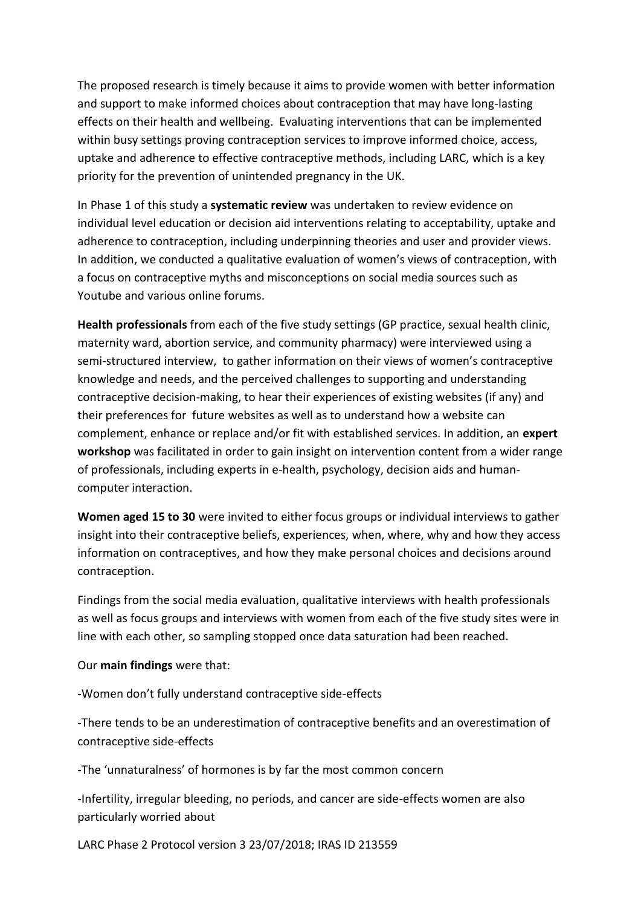The proposed research is timely because it aims to provide women with better information and support to make informed choices about contraception that may have long-lasting effects on their health and wellbeing. Evaluating interventions that can be implemented within busy settings proving contraception services to improve informed choice, access, uptake and adherence to effective contraceptive methods, including LARC, which is a key priority for the prevention of unintended pregnancy in the UK.

In Phase 1 of this study a **systematic review** was undertaken to review evidence on individual level education or decision aid interventions relating to acceptability, uptake and adherence to contraception, including underpinning theories and user and provider views. In addition, we conducted a qualitative evaluation of women's views of contraception, with a focus on contraceptive myths and misconceptions on social media sources such as Youtube and various online forums.

**Health professionals** from each of the five study settings (GP practice, sexual health clinic, maternity ward, abortion service, and community pharmacy) were interviewed using a semi-structured interview, to gather information on their views of women's contraceptive knowledge and needs, and the perceived challenges to supporting and understanding contraceptive decision-making, to hear their experiences of existing websites (if any) and their preferences for future websites as well as to understand how a website can complement, enhance or replace and/or fit with established services. In addition, an **expert workshop** was facilitated in order to gain insight on intervention content from a wider range of professionals, including experts in e-health, psychology, decision aids and humancomputer interaction.

**Women aged 15 to 30** were invited to either focus groups or individual interviews to gather insight into their contraceptive beliefs, experiences, when, where, why and how they access information on contraceptives, and how they make personal choices and decisions around contraception.

Findings from the social media evaluation, qualitative interviews with health professionals as well as focus groups and interviews with women from each of the five study sites were in line with each other, so sampling stopped once data saturation had been reached.

Our **main findings** were that:

-Women don't fully understand contraceptive side-effects

-There tends to be an underestimation of contraceptive benefits and an overestimation of contraceptive side-effects

-The 'unnaturalness' of hormones is by far the most common concern

-Infertility, irregular bleeding, no periods, and cancer are side-effects women are also particularly worried about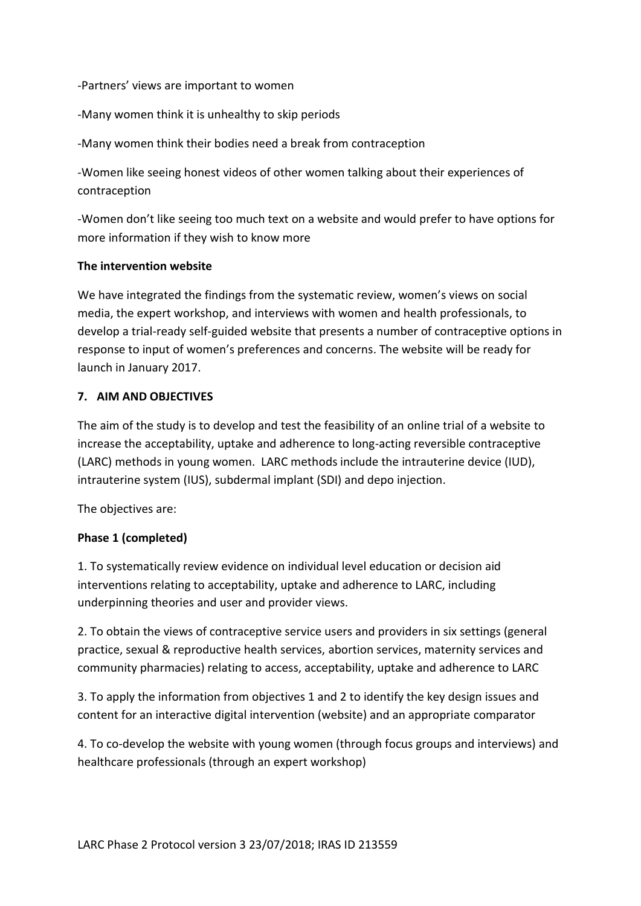-Partners' views are important to women

-Many women think it is unhealthy to skip periods

-Many women think their bodies need a break from contraception

-Women like seeing honest videos of other women talking about their experiences of contraception

-Women don't like seeing too much text on a website and would prefer to have options for more information if they wish to know more

#### **The intervention website**

We have integrated the findings from the systematic review, women's views on social media, the expert workshop, and interviews with women and health professionals, to develop a trial-ready self-guided website that presents a number of contraceptive options in response to input of women's preferences and concerns. The website will be ready for launch in January 2017.

#### <span id="page-13-0"></span>**7. AIM AND OBJECTIVES**

The aim of the study is to develop and test the feasibility of an online trial of a website to increase the acceptability, uptake and adherence to long-acting reversible contraceptive (LARC) methods in young women. LARC methods include the intrauterine device (IUD), intrauterine system (IUS), subdermal implant (SDI) and depo injection.

The objectives are:

#### **Phase 1 (completed)**

1. To systematically review evidence on individual level education or decision aid interventions relating to acceptability, uptake and adherence to LARC, including underpinning theories and user and provider views.

2. To obtain the views of contraceptive service users and providers in six settings (general practice, sexual & reproductive health services, abortion services, maternity services and community pharmacies) relating to access, acceptability, uptake and adherence to LARC

3. To apply the information from objectives 1 and 2 to identify the key design issues and content for an interactive digital intervention (website) and an appropriate comparator

4. To co-develop the website with young women (through focus groups and interviews) and healthcare professionals (through an expert workshop)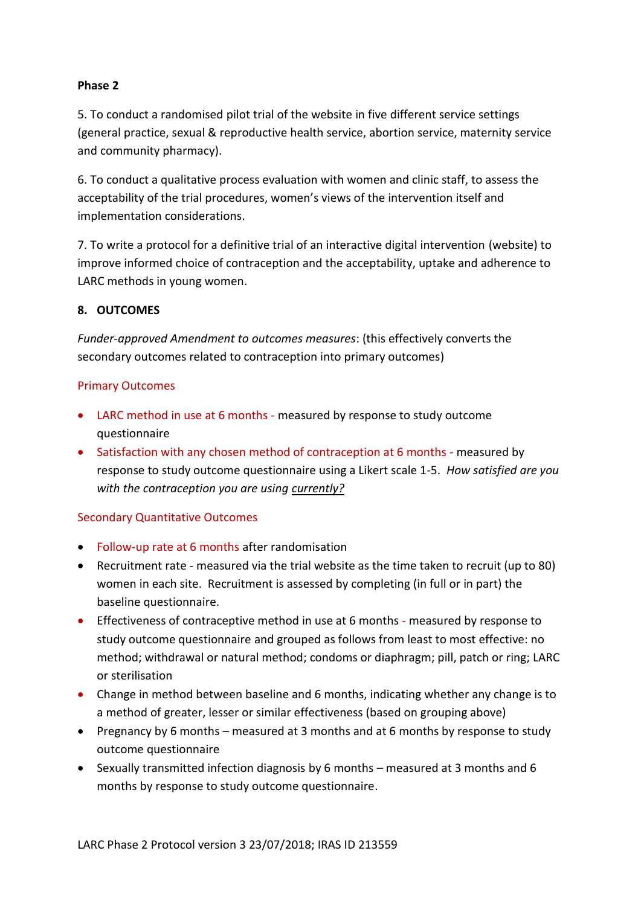#### **Phase 2**

5. To conduct a randomised pilot trial of the website in five different service settings (general practice, sexual & reproductive health service, abortion service, maternity service and community pharmacy).

6. To conduct a qualitative process evaluation with women and clinic staff, to assess the acceptability of the trial procedures, women's views of the intervention itself and implementation considerations.

7. To write a protocol for a definitive trial of an interactive digital intervention (website) to improve informed choice of contraception and the acceptability, uptake and adherence to LARC methods in young women.

#### <span id="page-14-0"></span>**8. OUTCOMES**

*Funder-approved Amendment to outcomes measures*: (this effectively converts the secondary outcomes related to contraception into primary outcomes)

#### Primary Outcomes

- LARC method in use at 6 months measured by response to study outcome questionnaire
- Satisfaction with any chosen method of contraception at 6 months measured by response to study outcome questionnaire using a Likert scale 1-5. *How satisfied are you with the contraception you are using currently?*

#### Secondary Quantitative Outcomes

- Follow-up rate at 6 months after randomisation
- Recruitment rate measured via the trial website as the time taken to recruit (up to 80) women in each site. Recruitment is assessed by completing (in full or in part) the baseline questionnaire.
- Effectiveness of contraceptive method in use at 6 months measured by response to study outcome questionnaire and grouped as follows from least to most effective: no method; withdrawal or natural method; condoms or diaphragm; pill, patch or ring; LARC or sterilisation
- Change in method between baseline and 6 months, indicating whether any change is to a method of greater, lesser or similar effectiveness (based on grouping above)
- Pregnancy by 6 months measured at 3 months and at 6 months by response to study outcome questionnaire
- **•** Sexually transmitted infection diagnosis by 6 months measured at 3 months and 6 months by response to study outcome questionnaire.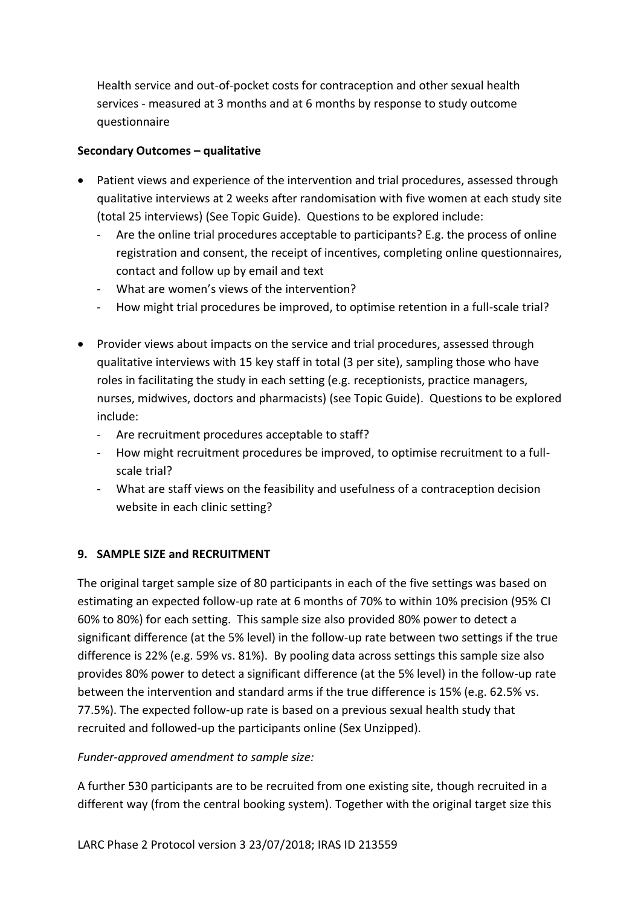Health service and out-of-pocket costs for contraception and other sexual health services - measured at 3 months and at 6 months by response to study outcome questionnaire

# **Secondary Outcomes – qualitative**

- Patient views and experience of the intervention and trial procedures, assessed through qualitative interviews at 2 weeks after randomisation with five women at each study site (total 25 interviews) (See Topic Guide). Questions to be explored include:
	- Are the online trial procedures acceptable to participants? E.g. the process of online registration and consent, the receipt of incentives, completing online questionnaires, contact and follow up by email and text
	- What are women's views of the intervention?
	- How might trial procedures be improved, to optimise retention in a full-scale trial?
- Provider views about impacts on the service and trial procedures, assessed through qualitative interviews with 15 key staff in total (3 per site), sampling those who have roles in facilitating the study in each setting (e.g. receptionists, practice managers, nurses, midwives, doctors and pharmacists) (see Topic Guide). Questions to be explored include:
	- Are recruitment procedures acceptable to staff?
	- How might recruitment procedures be improved, to optimise recruitment to a fullscale trial?
	- What are staff views on the feasibility and usefulness of a contraception decision website in each clinic setting?

# <span id="page-15-0"></span>**9. SAMPLE SIZE and RECRUITMENT**

The original target sample size of 80 participants in each of the five settings was based on estimating an expected follow-up rate at 6 months of 70% to within 10% precision (95% CI 60% to 80%) for each setting. This sample size also provided 80% power to detect a significant difference (at the 5% level) in the follow-up rate between two settings if the true difference is 22% (e.g. 59% vs. 81%). By pooling data across settings this sample size also provides 80% power to detect a significant difference (at the 5% level) in the follow-up rate between the intervention and standard arms if the true difference is 15% (e.g. 62.5% vs. 77.5%). The expected follow-up rate is based on a previous sexual health study that recruited and followed-up the participants online (Sex Unzipped).

# *Funder-approved amendment to sample size:*

A further 530 participants are to be recruited from one existing site, though recruited in a different way (from the central booking system). Together with the original target size this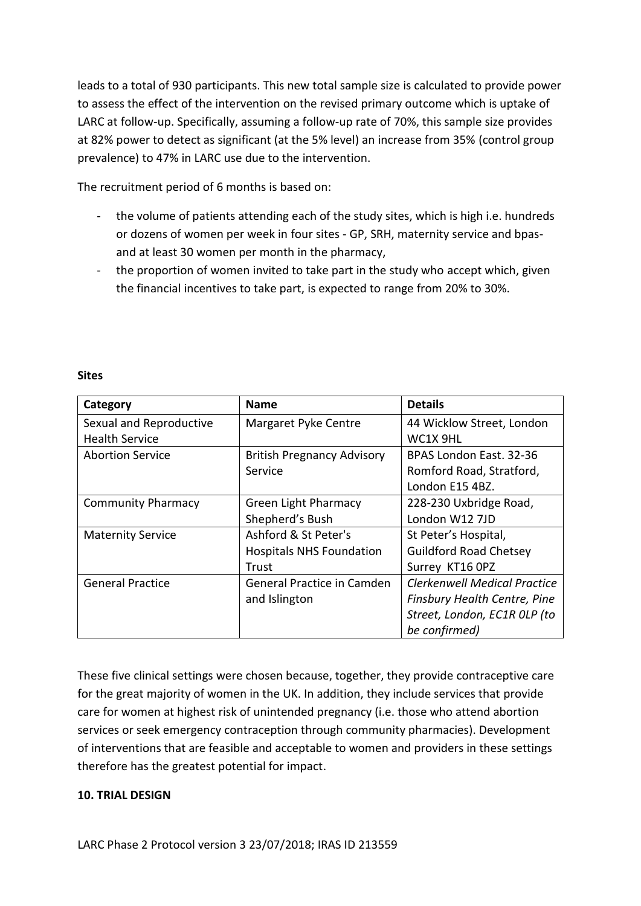leads to a total of 930 participants. This new total sample size is calculated to provide power to assess the effect of the intervention on the revised primary outcome which is uptake of LARC at follow-up. Specifically, assuming a follow-up rate of 70%, this sample size provides at 82% power to detect as significant (at the 5% level) an increase from 35% (control group prevalence) to 47% in LARC use due to the intervention.

The recruitment period of 6 months is based on:

- the volume of patients attending each of the study sites, which is high i.e. hundreds or dozens of women per week in four sites - GP, SRH, maternity service and bpasand at least 30 women per month in the pharmacy,
- the proportion of women invited to take part in the study who accept which, given the financial incentives to take part, is expected to range from 20% to 30%.

| Category                  | <b>Name</b>                       | <b>Details</b>                      |  |  |  |  |
|---------------------------|-----------------------------------|-------------------------------------|--|--|--|--|
| Sexual and Reproductive   | Margaret Pyke Centre              | 44 Wicklow Street, London           |  |  |  |  |
| <b>Health Service</b>     |                                   | WC1X 9HL                            |  |  |  |  |
| <b>Abortion Service</b>   | <b>British Pregnancy Advisory</b> | BPAS London East. 32-36             |  |  |  |  |
|                           | Service                           | Romford Road, Stratford,            |  |  |  |  |
|                           |                                   | London E15 4BZ.                     |  |  |  |  |
| <b>Community Pharmacy</b> | <b>Green Light Pharmacy</b>       | 228-230 Uxbridge Road,              |  |  |  |  |
|                           | Shepherd's Bush                   | London W12 7JD                      |  |  |  |  |
| <b>Maternity Service</b>  | Ashford & St Peter's              | St Peter's Hospital,                |  |  |  |  |
|                           | <b>Hospitals NHS Foundation</b>   | <b>Guildford Road Chetsey</b>       |  |  |  |  |
|                           | Trust                             | Surrey KT16 OPZ                     |  |  |  |  |
| <b>General Practice</b>   | <b>General Practice in Camden</b> | <b>Clerkenwell Medical Practice</b> |  |  |  |  |
|                           | and Islington                     | Finsbury Health Centre, Pine        |  |  |  |  |
|                           |                                   | Street, London, EC1R OLP (to        |  |  |  |  |
|                           |                                   | be confirmed)                       |  |  |  |  |

#### **Sites**

These five clinical settings were chosen because, together, they provide contraceptive care for the great majority of women in the UK. In addition, they include services that provide care for women at highest risk of unintended pregnancy (i.e. those who attend abortion services or seek emergency contraception through community pharmacies). Development of interventions that are feasible and acceptable to women and providers in these settings therefore has the greatest potential for impact.

#### <span id="page-16-0"></span>**10. TRIAL DESIGN**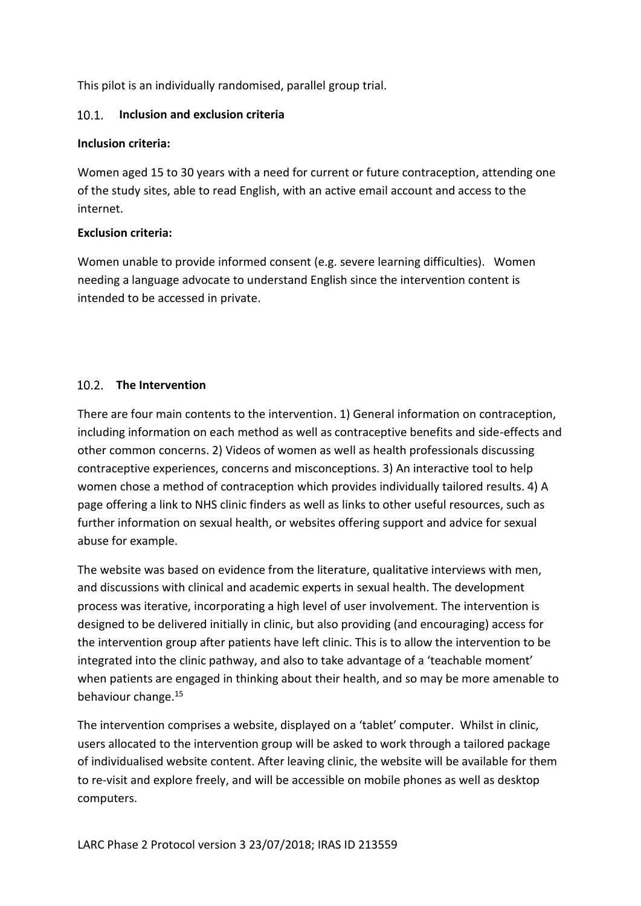This pilot is an individually randomised, parallel group trial.

#### <span id="page-17-0"></span>**Inclusion and exclusion criteria**   $10.1$

#### **Inclusion criteria:**

Women aged 15 to 30 years with a need for current or future contraception, attending one of the study sites, able to read English, with an active email account and access to the internet.

# **Exclusion criteria:**

Women unable to provide informed consent (e.g. severe learning difficulties). Women needing a language advocate to understand English since the intervention content is intended to be accessed in private.

# <span id="page-17-1"></span>10.2 The Intervention

There are four main contents to the intervention. 1) General information on contraception, including information on each method as well as contraceptive benefits and side-effects and other common concerns. 2) Videos of women as well as health professionals discussing contraceptive experiences, concerns and misconceptions. 3) An interactive tool to help women chose a method of contraception which provides individually tailored results. 4) A page offering a link to NHS clinic finders as well as links to other useful resources, such as further information on sexual health, or websites offering support and advice for sexual abuse for example.

The website was based on evidence from the literature, qualitative interviews with men, and discussions with clinical and academic experts in sexual health. The development process was iterative, incorporating a high level of user involvement. The intervention is designed to be delivered initially in clinic, but also providing (and encouraging) access for the intervention group after patients have left clinic. This is to allow the intervention to be integrated into the clinic pathway, and also to take advantage of a 'teachable moment' when patients are engaged in thinking about their health, and so may be more amenable to behaviour change.<sup>15</sup>

The intervention comprises a website, displayed on a 'tablet' computer. Whilst in clinic, users allocated to the intervention group will be asked to work through a tailored package of individualised website content. After leaving clinic, the website will be available for them to re-visit and explore freely, and will be accessible on mobile phones as well as desktop computers.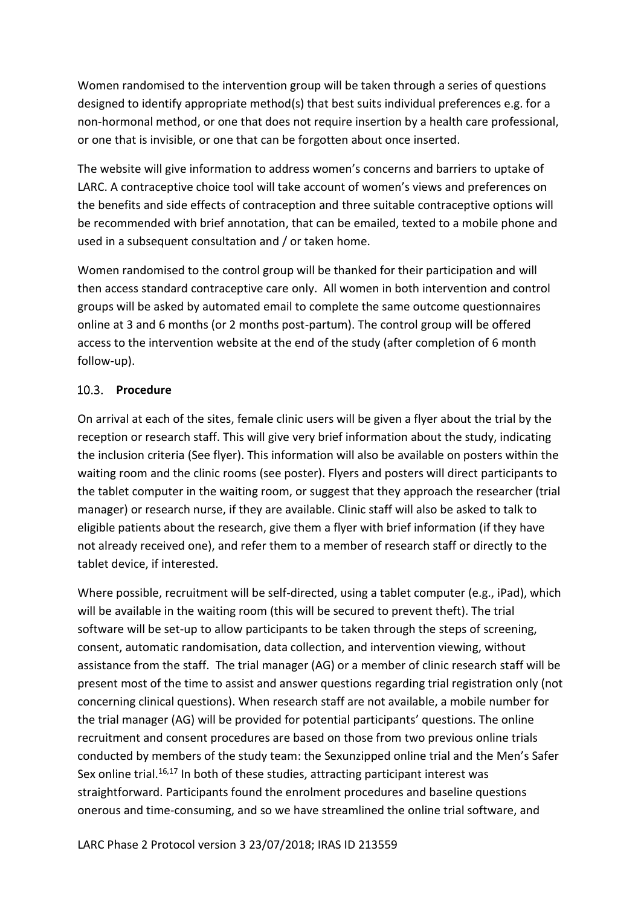Women randomised to the intervention group will be taken through a series of questions designed to identify appropriate method(s) that best suits individual preferences e.g. for a non-hormonal method, or one that does not require insertion by a health care professional, or one that is invisible, or one that can be forgotten about once inserted.

The website will give information to address women's concerns and barriers to uptake of LARC. A contraceptive choice tool will take account of women's views and preferences on the benefits and side effects of contraception and three suitable contraceptive options will be recommended with brief annotation, that can be emailed, texted to a mobile phone and used in a subsequent consultation and / or taken home.

Women randomised to the control group will be thanked for their participation and will then access standard contraceptive care only. All women in both intervention and control groups will be asked by automated email to complete the same outcome questionnaires online at 3 and 6 months (or 2 months post-partum). The control group will be offered access to the intervention website at the end of the study (after completion of 6 month follow-up).

#### <span id="page-18-0"></span>10.3. Procedure

On arrival at each of the sites, female clinic users will be given a flyer about the trial by the reception or research staff. This will give very brief information about the study, indicating the inclusion criteria (See flyer). This information will also be available on posters within the waiting room and the clinic rooms (see poster). Flyers and posters will direct participants to the tablet computer in the waiting room, or suggest that they approach the researcher (trial manager) or research nurse, if they are available. Clinic staff will also be asked to talk to eligible patients about the research, give them a flyer with brief information (if they have not already received one), and refer them to a member of research staff or directly to the tablet device, if interested.

Where possible, recruitment will be self-directed, using a tablet computer (e.g., iPad), which will be available in the waiting room (this will be secured to prevent theft). The trial software will be set-up to allow participants to be taken through the steps of screening, consent, automatic randomisation, data collection, and intervention viewing, without assistance from the staff. The trial manager (AG) or a member of clinic research staff will be present most of the time to assist and answer questions regarding trial registration only (not concerning clinical questions). When research staff are not available, a mobile number for the trial manager (AG) will be provided for potential participants' questions. The online recruitment and consent procedures are based on those from two previous online trials conducted by members of the study team: the Sexunzipped online trial and the Men's Safer Sex online trial. $16,17$  In both of these studies, attracting participant interest was straightforward. Participants found the enrolment procedures and baseline questions onerous and time-consuming, and so we have streamlined the online trial software, and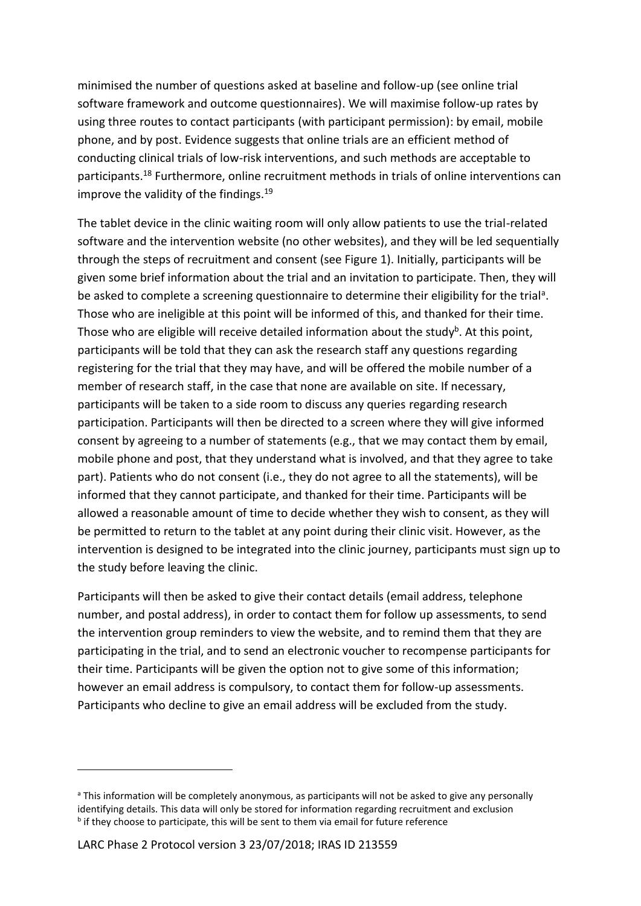minimised the number of questions asked at baseline and follow-up (see online trial software framework and outcome questionnaires). We will maximise follow-up rates by using three routes to contact participants (with participant permission): by email, mobile phone, and by post. Evidence suggests that online trials are an efficient method of conducting clinical trials of low-risk interventions, and such methods are acceptable to participants.<sup>18</sup> Furthermore, online recruitment methods in trials of online interventions can improve the validity of the findings.<sup>19</sup>

The tablet device in the clinic waiting room will only allow patients to use the trial-related software and the intervention website (no other websites), and they will be led sequentially through the steps of recruitment and consent (see Figure 1). Initially, participants will be given some brief information about the trial and an invitation to participate. Then, they will be asked to complete a screening questionnaire to determine their eligibility for the trial<sup>a</sup>. Those who are ineligible at this point will be informed of this, and thanked for their time. Those who are eligible will receive detailed information about the study<sup>b</sup>. At this point, participants will be told that they can ask the research staff any questions regarding registering for the trial that they may have, and will be offered the mobile number of a member of research staff, in the case that none are available on site. If necessary, participants will be taken to a side room to discuss any queries regarding research participation. Participants will then be directed to a screen where they will give informed consent by agreeing to a number of statements (e.g., that we may contact them by email, mobile phone and post, that they understand what is involved, and that they agree to take part). Patients who do not consent (i.e., they do not agree to all the statements), will be informed that they cannot participate, and thanked for their time. Participants will be allowed a reasonable amount of time to decide whether they wish to consent, as they will be permitted to return to the tablet at any point during their clinic visit. However, as the intervention is designed to be integrated into the clinic journey, participants must sign up to the study before leaving the clinic.

Participants will then be asked to give their contact details (email address, telephone number, and postal address), in order to contact them for follow up assessments, to send the intervention group reminders to view the website, and to remind them that they are participating in the trial, and to send an electronic voucher to recompense participants for their time. Participants will be given the option not to give some of this information; however an email address is compulsory, to contact them for follow-up assessments. Participants who decline to give an email address will be excluded from the study.

-

a This information will be completely anonymous, as participants will not be asked to give any personally identifying details. This data will only be stored for information regarding recruitment and exclusion **<sup>b</sup>** if they choose to participate, this will be sent to them via email for future reference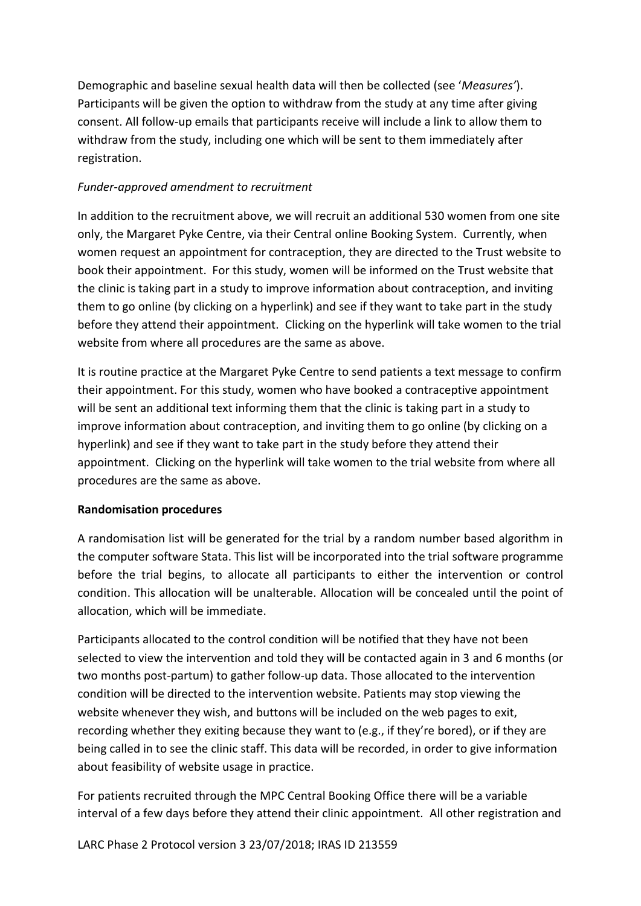Demographic and baseline sexual health data will then be collected (see '*Measures'*). Participants will be given the option to withdraw from the study at any time after giving consent. All follow-up emails that participants receive will include a link to allow them to withdraw from the study, including one which will be sent to them immediately after registration.

# *Funder-approved amendment to recruitment*

In addition to the recruitment above, we will recruit an additional 530 women from one site only, the Margaret Pyke Centre, via their Central online Booking System. Currently, when women request an appointment for contraception, they are directed to the Trust website to book their appointment. For this study, women will be informed on the Trust website that the clinic is taking part in a study to improve information about contraception, and inviting them to go online (by clicking on a hyperlink) and see if they want to take part in the study before they attend their appointment. Clicking on the hyperlink will take women to the trial website from where all procedures are the same as above.

It is routine practice at the Margaret Pyke Centre to send patients a text message to confirm their appointment. For this study, women who have booked a contraceptive appointment will be sent an additional text informing them that the clinic is taking part in a study to improve information about contraception, and inviting them to go online (by clicking on a hyperlink) and see if they want to take part in the study before they attend their appointment. Clicking on the hyperlink will take women to the trial website from where all procedures are the same as above.

# <span id="page-20-0"></span>**Randomisation procedures**

A randomisation list will be generated for the trial by a random number based algorithm in the computer software Stata. This list will be incorporated into the trial software programme before the trial begins, to allocate all participants to either the intervention or control condition. This allocation will be unalterable. Allocation will be concealed until the point of allocation, which will be immediate.

Participants allocated to the control condition will be notified that they have not been selected to view the intervention and told they will be contacted again in 3 and 6 months (or two months post-partum) to gather follow-up data. Those allocated to the intervention condition will be directed to the intervention website. Patients may stop viewing the website whenever they wish, and buttons will be included on the web pages to exit, recording whether they exiting because they want to (e.g., if they're bored), or if they are being called in to see the clinic staff. This data will be recorded, in order to give information about feasibility of website usage in practice.

For patients recruited through the MPC Central Booking Office there will be a variable interval of a few days before they attend their clinic appointment. All other registration and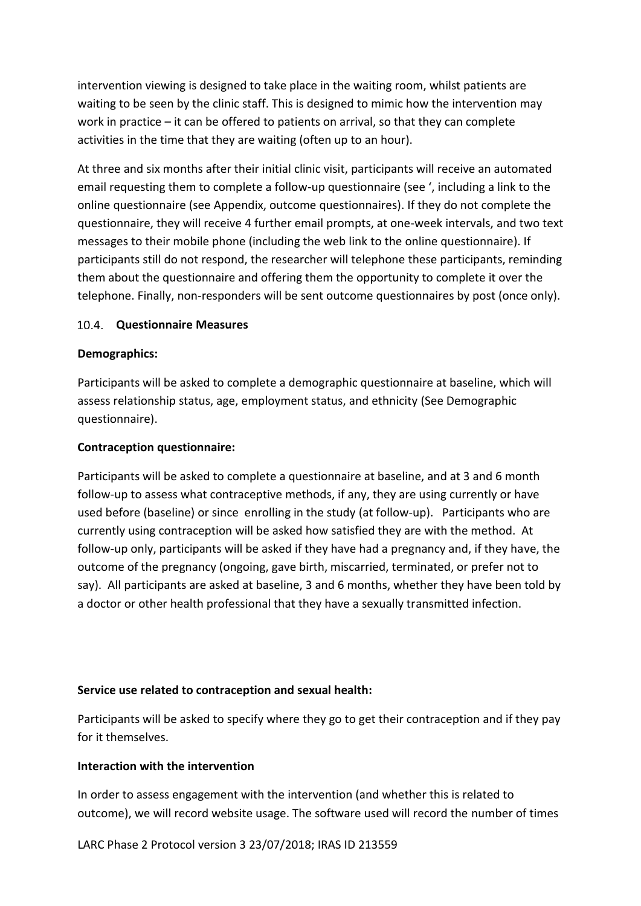intervention viewing is designed to take place in the waiting room, whilst patients are waiting to be seen by the clinic staff. This is designed to mimic how the intervention may work in practice – it can be offered to patients on arrival, so that they can complete activities in the time that they are waiting (often up to an hour).

At three and six months after their initial clinic visit, participants will receive an automated email requesting them to complete a follow-up questionnaire (see ', including a link to the online questionnaire (see Appendix, outcome questionnaires). If they do not complete the questionnaire, they will receive 4 further email prompts, at one-week intervals, and two text messages to their mobile phone (including the web link to the online questionnaire). If participants still do not respond, the researcher will telephone these participants, reminding them about the questionnaire and offering them the opportunity to complete it over the telephone. Finally, non-responders will be sent outcome questionnaires by post (once only).

#### <span id="page-21-0"></span>10.4. **Questionnaire Measures**

#### **Demographics:**

Participants will be asked to complete a demographic questionnaire at baseline, which will assess relationship status, age, employment status, and ethnicity (See Demographic questionnaire).

#### **Contraception questionnaire:**

Participants will be asked to complete a questionnaire at baseline, and at 3 and 6 month follow-up to assess what contraceptive methods, if any, they are using currently or have used before (baseline) or since enrolling in the study (at follow-up). Participants who are currently using contraception will be asked how satisfied they are with the method. At follow-up only, participants will be asked if they have had a pregnancy and, if they have, the outcome of the pregnancy (ongoing, gave birth, miscarried, terminated, or prefer not to say). All participants are asked at baseline, 3 and 6 months, whether they have been told by a doctor or other health professional that they have a sexually transmitted infection.

#### **Service use related to contraception and sexual health:**

Participants will be asked to specify where they go to get their contraception and if they pay for it themselves.

#### **Interaction with the intervention**

In order to assess engagement with the intervention (and whether this is related to outcome), we will record website usage. The software used will record the number of times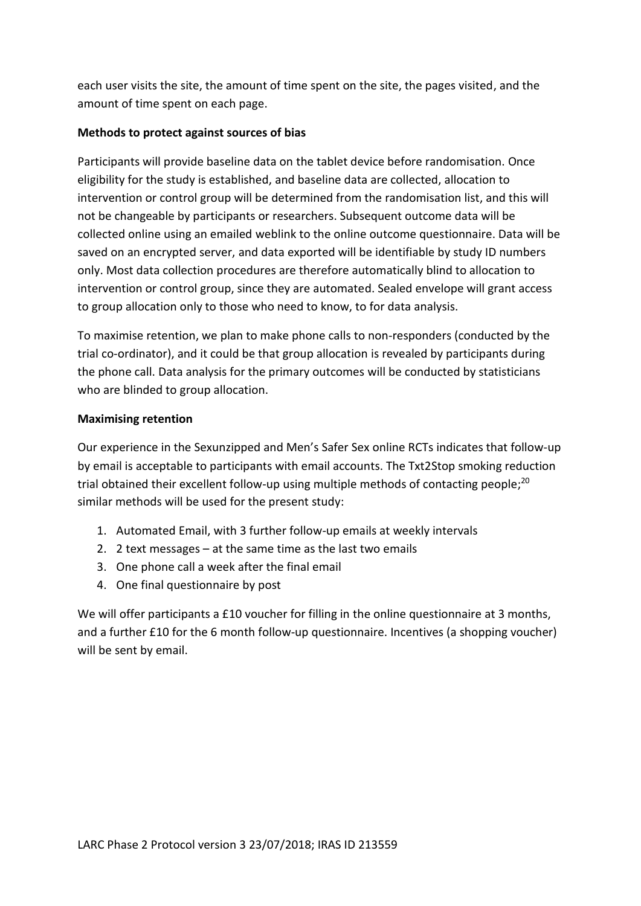each user visits the site, the amount of time spent on the site, the pages visited, and the amount of time spent on each page.

# **Methods to protect against sources of bias**

Participants will provide baseline data on the tablet device before randomisation. Once eligibility for the study is established, and baseline data are collected, allocation to intervention or control group will be determined from the randomisation list, and this will not be changeable by participants or researchers. Subsequent outcome data will be collected online using an emailed weblink to the online outcome questionnaire. Data will be saved on an encrypted server, and data exported will be identifiable by study ID numbers only. Most data collection procedures are therefore automatically blind to allocation to intervention or control group, since they are automated. Sealed envelope will grant access to group allocation only to those who need to know, to for data analysis.

To maximise retention, we plan to make phone calls to non-responders (conducted by the trial co-ordinator), and it could be that group allocation is revealed by participants during the phone call. Data analysis for the primary outcomes will be conducted by statisticians who are blinded to group allocation.

#### **Maximising retention**

Our experience in the Sexunzipped and Men's Safer Sex online RCTs indicates that follow-up by email is acceptable to participants with email accounts. The Txt2Stop smoking reduction trial obtained their excellent follow-up using multiple methods of contacting people;<sup>20</sup> similar methods will be used for the present study:

- 1. Automated Email, with 3 further follow-up emails at weekly intervals
- 2. 2 text messages at the same time as the last two emails
- 3. One phone call a week after the final email
- 4. One final questionnaire by post

We will offer participants a £10 voucher for filling in the online questionnaire at 3 months, and a further £10 for the 6 month follow-up questionnaire. Incentives (a shopping voucher) will be sent by email.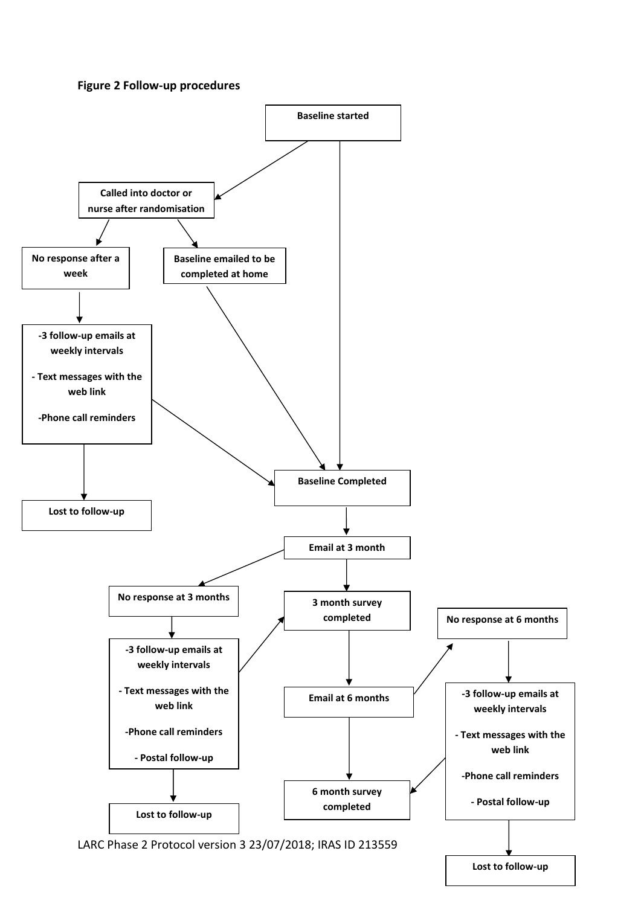#### **Figure 2 Follow-up procedures**



**Lost to follow-up**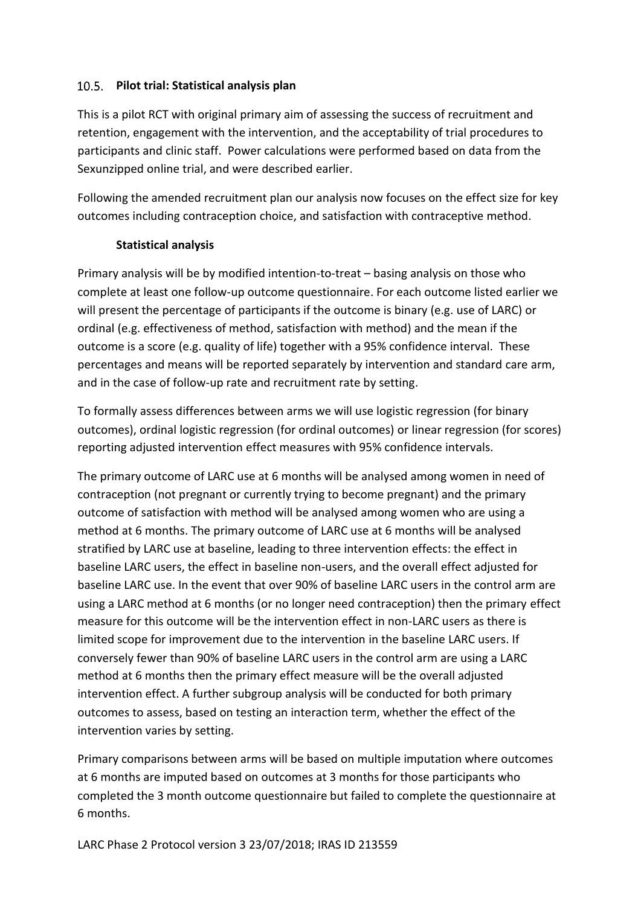# <span id="page-24-0"></span>**Pilot trial: Statistical analysis plan**

This is a pilot RCT with original primary aim of assessing the success of recruitment and retention, engagement with the intervention, and the acceptability of trial procedures to participants and clinic staff. Power calculations were performed based on data from the Sexunzipped online trial, and were described earlier.

Following the amended recruitment plan our analysis now focuses on the effect size for key outcomes including contraception choice, and satisfaction with contraceptive method.

#### **Statistical analysis**

Primary analysis will be by modified intention-to-treat – basing analysis on those who complete at least one follow-up outcome questionnaire. For each outcome listed earlier we will present the percentage of participants if the outcome is binary (e.g. use of LARC) or ordinal (e.g. effectiveness of method, satisfaction with method) and the mean if the outcome is a score (e.g. quality of life) together with a 95% confidence interval. These percentages and means will be reported separately by intervention and standard care arm, and in the case of follow-up rate and recruitment rate by setting.

To formally assess differences between arms we will use logistic regression (for binary outcomes), ordinal logistic regression (for ordinal outcomes) or linear regression (for scores) reporting adjusted intervention effect measures with 95% confidence intervals.

The primary outcome of LARC use at 6 months will be analysed among women in need of contraception (not pregnant or currently trying to become pregnant) and the primary outcome of satisfaction with method will be analysed among women who are using a method at 6 months. The primary outcome of LARC use at 6 months will be analysed stratified by LARC use at baseline, leading to three intervention effects: the effect in baseline LARC users, the effect in baseline non-users, and the overall effect adjusted for baseline LARC use. In the event that over 90% of baseline LARC users in the control arm are using a LARC method at 6 months (or no longer need contraception) then the primary effect measure for this outcome will be the intervention effect in non-LARC users as there is limited scope for improvement due to the intervention in the baseline LARC users. If conversely fewer than 90% of baseline LARC users in the control arm are using a LARC method at 6 months then the primary effect measure will be the overall adjusted intervention effect. A further subgroup analysis will be conducted for both primary outcomes to assess, based on testing an interaction term, whether the effect of the intervention varies by setting.

Primary comparisons between arms will be based on multiple imputation where outcomes at 6 months are imputed based on outcomes at 3 months for those participants who completed the 3 month outcome questionnaire but failed to complete the questionnaire at 6 months.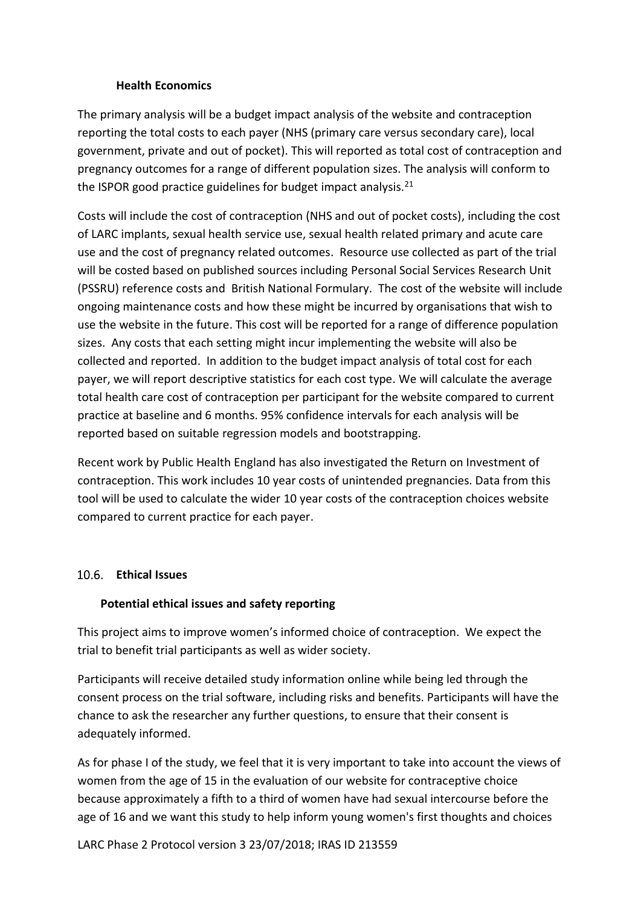#### **Health Economics**

<span id="page-25-0"></span>The primary analysis will be a budget impact analysis of the website and contraception reporting the total costs to each payer (NHS (primary care versus secondary care), local government, private and out of pocket). This will reported as total cost of contraception and pregnancy outcomes for a range of different population sizes. The analysis will conform to the ISPOR good practice guidelines for budget impact analysis.<sup>21</sup>

Costs will include the cost of contraception (NHS and out of pocket costs), including the cost of LARC implants, sexual health service use, sexual health related primary and acute care use and the cost of pregnancy related outcomes. Resource use collected as part of the trial will be costed based on published sources including Personal Social Services Research Unit (PSSRU) reference costs and British National Formulary. The cost of the website will include ongoing maintenance costs and how these might be incurred by organisations that wish to use the website in the future. This cost will be reported for a range of difference population sizes. Any costs that each setting might incur implementing the website will also be collected and reported. In addition to the budget impact analysis of total cost for each payer, we will report descriptive statistics for each cost type. We will calculate the average total health care cost of contraception per participant for the website compared to current practice at baseline and 6 months. 95% confidence intervals for each analysis will be reported based on suitable regression models and bootstrapping.

Recent work by Public Health England has also investigated the Return on Investment of contraception. This work includes 10 year costs of unintended pregnancies. Data from this tool will be used to calculate the wider 10 year costs of the contraception choices website compared to current practice for each payer.

#### <span id="page-25-1"></span>**Ethical Issues**

#### **Potential ethical issues and safety reporting**

This project aims to improve women's informed choice of contraception. We expect the trial to benefit trial participants as well as wider society.

Participants will receive detailed study information online while being led through the consent process on the trial software, including risks and benefits. Participants will have the chance to ask the researcher any further questions, to ensure that their consent is adequately informed.

As for phase I of the study, we feel that it is very important to take into account the views of women from the age of 15 in the evaluation of our website for contraceptive choice because approximately a fifth to a third of women have had sexual intercourse before the age of 16 and we want this study to help inform young women's first thoughts and choices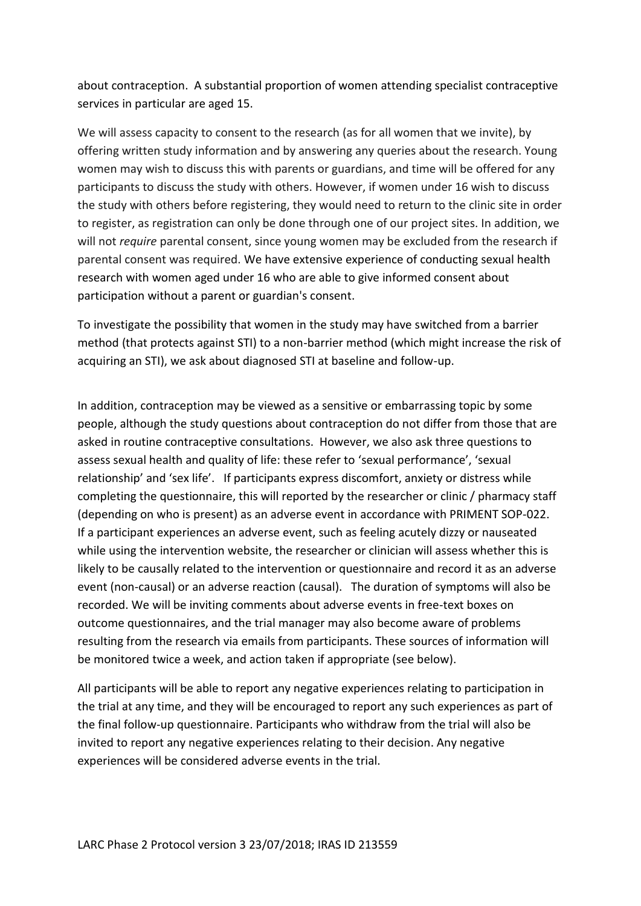about contraception. A substantial proportion of women attending specialist contraceptive services in particular are aged 15.

We will assess capacity to consent to the research (as for all women that we invite), by offering written study information and by answering any queries about the research. Young women may wish to discuss this with parents or guardians, and time will be offered for any participants to discuss the study with others. However, if women under 16 wish to discuss the study with others before registering, they would need to return to the clinic site in order to register, as registration can only be done through one of our project sites. In addition, we will not *require* parental consent, since young women may be excluded from the research if parental consent was required. We have extensive experience of conducting sexual health research with women aged under 16 who are able to give informed consent about participation without a parent or guardian's consent.

To investigate the possibility that women in the study may have switched from a barrier method (that protects against STI) to a non-barrier method (which might increase the risk of acquiring an STI), we ask about diagnosed STI at baseline and follow-up.

In addition, contraception may be viewed as a sensitive or embarrassing topic by some people, although the study questions about contraception do not differ from those that are asked in routine contraceptive consultations. However, we also ask three questions to assess sexual health and quality of life: these refer to 'sexual performance', 'sexual relationship' and 'sex life'. If participants express discomfort, anxiety or distress while completing the questionnaire, this will reported by the researcher or clinic / pharmacy staff (depending on who is present) as an adverse event in accordance with PRIMENT SOP-022. If a participant experiences an adverse event, such as feeling acutely dizzy or nauseated while using the intervention website, the researcher or clinician will assess whether this is likely to be causally related to the intervention or questionnaire and record it as an adverse event (non-causal) or an adverse reaction (causal). The duration of symptoms will also be recorded. We will be inviting comments about adverse events in free-text boxes on outcome questionnaires, and the trial manager may also become aware of problems resulting from the research via emails from participants. These sources of information will be monitored twice a week, and action taken if appropriate (see below).

All participants will be able to report any negative experiences relating to participation in the trial at any time, and they will be encouraged to report any such experiences as part of the final follow-up questionnaire. Participants who withdraw from the trial will also be invited to report any negative experiences relating to their decision. Any negative experiences will be considered adverse events in the trial.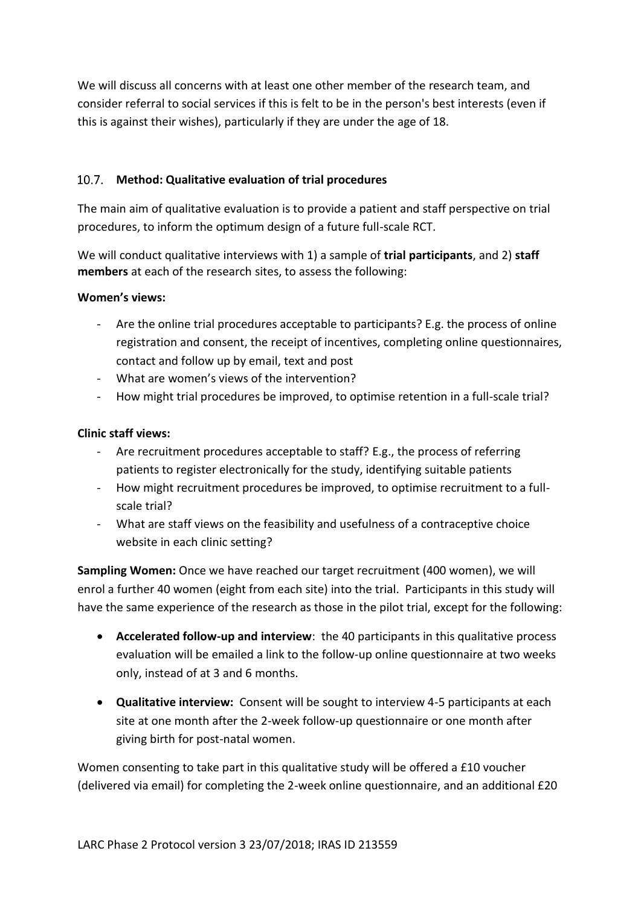<span id="page-27-0"></span>We will discuss all concerns with at least one other member of the research team, and consider referral to social services if this is felt to be in the person's best interests (even if this is against their wishes), particularly if they are under the age of 18.

# **Method: Qualitative evaluation of trial procedures**

The main aim of qualitative evaluation is to provide a patient and staff perspective on trial procedures, to inform the optimum design of a future full-scale RCT.

We will conduct qualitative interviews with 1) a sample of **trial participants**, and 2) **staff members** at each of the research sites, to assess the following:

# **Women's views:**

- Are the online trial procedures acceptable to participants? E.g. the process of online registration and consent, the receipt of incentives, completing online questionnaires, contact and follow up by email, text and post
- What are women's views of the intervention?
- How might trial procedures be improved, to optimise retention in a full-scale trial?

# **Clinic staff views:**

- Are recruitment procedures acceptable to staff? E.g., the process of referring patients to register electronically for the study, identifying suitable patients
- How might recruitment procedures be improved, to optimise recruitment to a fullscale trial?
- What are staff views on the feasibility and usefulness of a contraceptive choice website in each clinic setting?

**Sampling Women:** Once we have reached our target recruitment (400 women), we will enrol a further 40 women (eight from each site) into the trial. Participants in this study will have the same experience of the research as those in the pilot trial, except for the following:

- **Accelerated follow-up and interview**: the 40 participants in this qualitative process evaluation will be emailed a link to the follow-up online questionnaire at two weeks only, instead of at 3 and 6 months.
- **Qualitative interview:** Consent will be sought to interview 4-5 participants at each site at one month after the 2-week follow-up questionnaire or one month after giving birth for post-natal women.

Women consenting to take part in this qualitative study will be offered a £10 voucher (delivered via email) for completing the 2-week online questionnaire, and an additional £20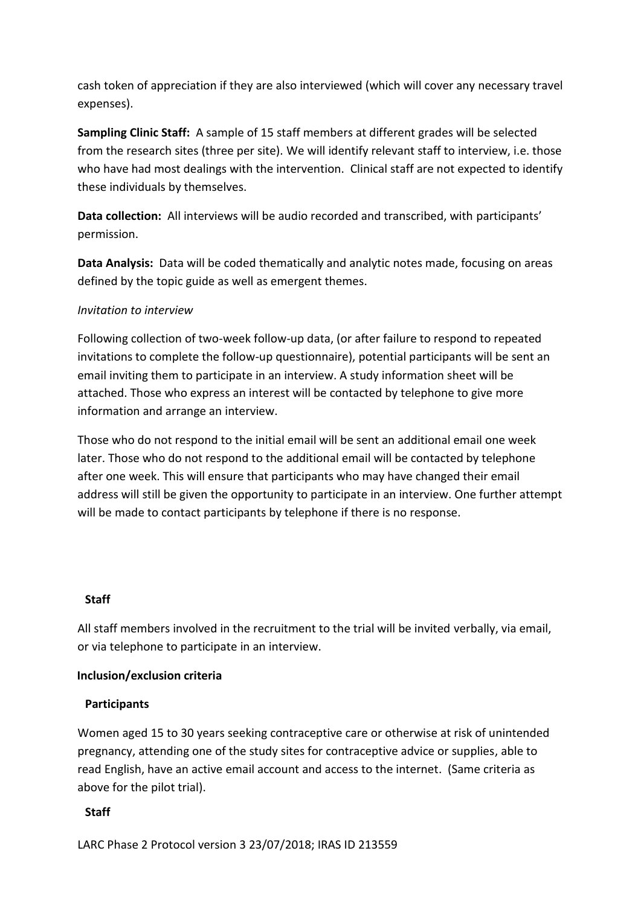cash token of appreciation if they are also interviewed (which will cover any necessary travel expenses).

**Sampling Clinic Staff:** A sample of 15 staff members at different grades will be selected from the research sites (three per site). We will identify relevant staff to interview, i.e. those who have had most dealings with the intervention. Clinical staff are not expected to identify these individuals by themselves.

**Data collection:** All interviews will be audio recorded and transcribed, with participants' permission.

**Data Analysis:** Data will be coded thematically and analytic notes made, focusing on areas defined by the topic guide as well as emergent themes.

#### *Invitation to interview*

Following collection of two-week follow-up data, (or after failure to respond to repeated invitations to complete the follow-up questionnaire), potential participants will be sent an email inviting them to participate in an interview. A study information sheet will be attached. Those who express an interest will be contacted by telephone to give more information and arrange an interview.

Those who do not respond to the initial email will be sent an additional email one week later. Those who do not respond to the additional email will be contacted by telephone after one week. This will ensure that participants who may have changed their email address will still be given the opportunity to participate in an interview. One further attempt will be made to contact participants by telephone if there is no response.

#### **Staff**

All staff members involved in the recruitment to the trial will be invited verbally, via email, or via telephone to participate in an interview.

#### **Inclusion/exclusion criteria**

#### **Participants**

Women aged 15 to 30 years seeking contraceptive care or otherwise at risk of unintended pregnancy, attending one of the study sites for contraceptive advice or supplies, able to read English, have an active email account and access to the internet. (Same criteria as above for the pilot trial).

# **Staff**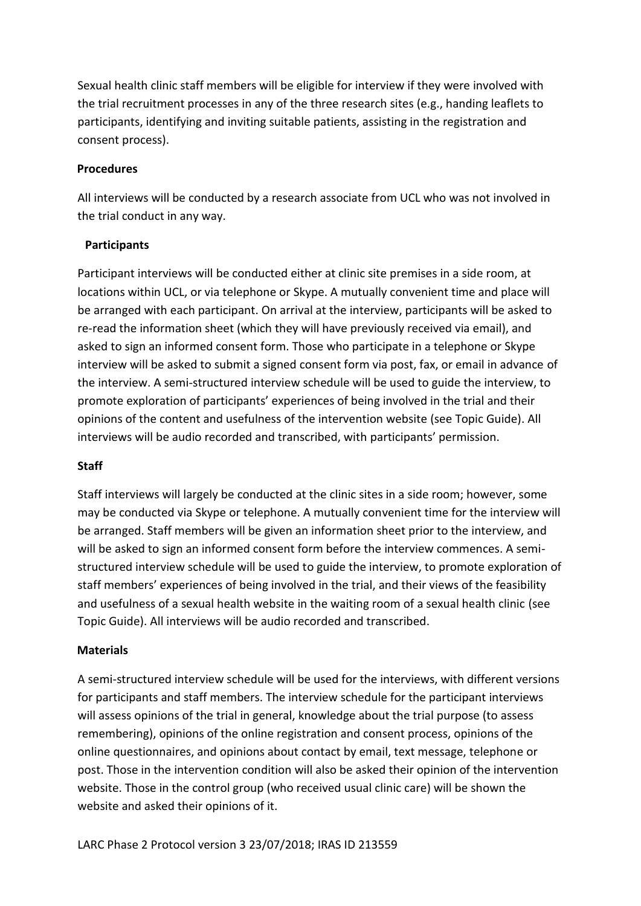Sexual health clinic staff members will be eligible for interview if they were involved with the trial recruitment processes in any of the three research sites (e.g., handing leaflets to participants, identifying and inviting suitable patients, assisting in the registration and consent process).

#### **Procedures**

All interviews will be conducted by a research associate from UCL who was not involved in the trial conduct in any way.

#### **Participants**

Participant interviews will be conducted either at clinic site premises in a side room, at locations within UCL, or via telephone or Skype. A mutually convenient time and place will be arranged with each participant. On arrival at the interview, participants will be asked to re-read the information sheet (which they will have previously received via email), and asked to sign an informed consent form. Those who participate in a telephone or Skype interview will be asked to submit a signed consent form via post, fax, or email in advance of the interview. A semi-structured interview schedule will be used to guide the interview, to promote exploration of participants' experiences of being involved in the trial and their opinions of the content and usefulness of the intervention website (see Topic Guide). All interviews will be audio recorded and transcribed, with participants' permission.

#### **Staff**

Staff interviews will largely be conducted at the clinic sites in a side room; however, some may be conducted via Skype or telephone. A mutually convenient time for the interview will be arranged. Staff members will be given an information sheet prior to the interview, and will be asked to sign an informed consent form before the interview commences. A semistructured interview schedule will be used to guide the interview, to promote exploration of staff members' experiences of being involved in the trial, and their views of the feasibility and usefulness of a sexual health website in the waiting room of a sexual health clinic (see Topic Guide). All interviews will be audio recorded and transcribed.

#### **Materials**

A semi-structured interview schedule will be used for the interviews, with different versions for participants and staff members. The interview schedule for the participant interviews will assess opinions of the trial in general, knowledge about the trial purpose (to assess remembering), opinions of the online registration and consent process, opinions of the online questionnaires, and opinions about contact by email, text message, telephone or post. Those in the intervention condition will also be asked their opinion of the intervention website. Those in the control group (who received usual clinic care) will be shown the website and asked their opinions of it.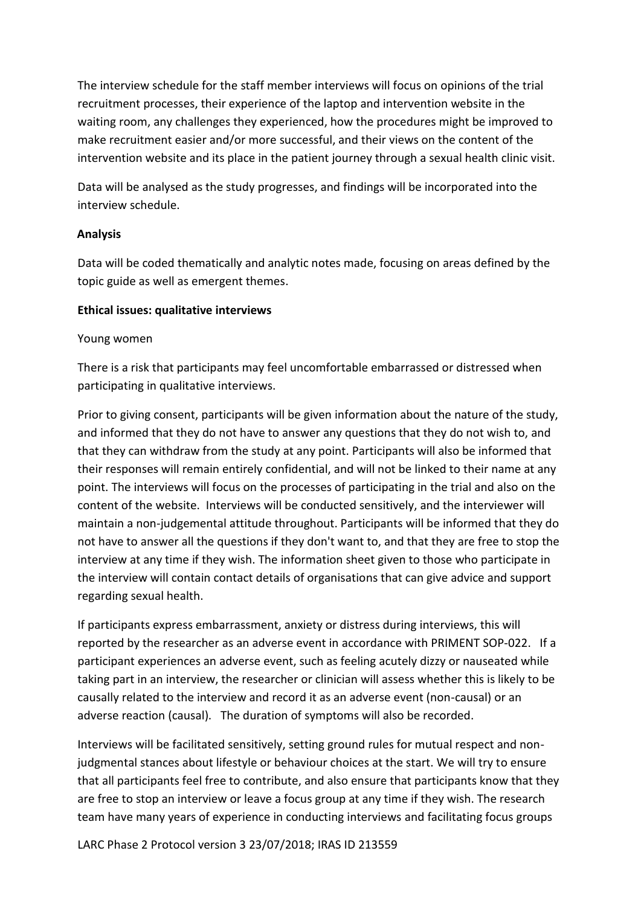The interview schedule for the staff member interviews will focus on opinions of the trial recruitment processes, their experience of the laptop and intervention website in the waiting room, any challenges they experienced, how the procedures might be improved to make recruitment easier and/or more successful, and their views on the content of the intervention website and its place in the patient journey through a sexual health clinic visit.

Data will be analysed as the study progresses, and findings will be incorporated into the interview schedule.

#### **Analysis**

Data will be coded thematically and analytic notes made, focusing on areas defined by the topic guide as well as emergent themes.

#### **Ethical issues: qualitative interviews**

#### Young women

There is a risk that participants may feel uncomfortable embarrassed or distressed when participating in qualitative interviews.

Prior to giving consent, participants will be given information about the nature of the study, and informed that they do not have to answer any questions that they do not wish to, and that they can withdraw from the study at any point. Participants will also be informed that their responses will remain entirely confidential, and will not be linked to their name at any point. The interviews will focus on the processes of participating in the trial and also on the content of the website. Interviews will be conducted sensitively, and the interviewer will maintain a non-judgemental attitude throughout. Participants will be informed that they do not have to answer all the questions if they don't want to, and that they are free to stop the interview at any time if they wish. The information sheet given to those who participate in the interview will contain contact details of organisations that can give advice and support regarding sexual health.

If participants express embarrassment, anxiety or distress during interviews, this will reported by the researcher as an adverse event in accordance with PRIMENT SOP-022. If a participant experiences an adverse event, such as feeling acutely dizzy or nauseated while taking part in an interview, the researcher or clinician will assess whether this is likely to be causally related to the interview and record it as an adverse event (non-causal) or an adverse reaction (causal). The duration of symptoms will also be recorded.

Interviews will be facilitated sensitively, setting ground rules for mutual respect and nonjudgmental stances about lifestyle or behaviour choices at the start. We will try to ensure that all participants feel free to contribute, and also ensure that participants know that they are free to stop an interview or leave a focus group at any time if they wish. The research team have many years of experience in conducting interviews and facilitating focus groups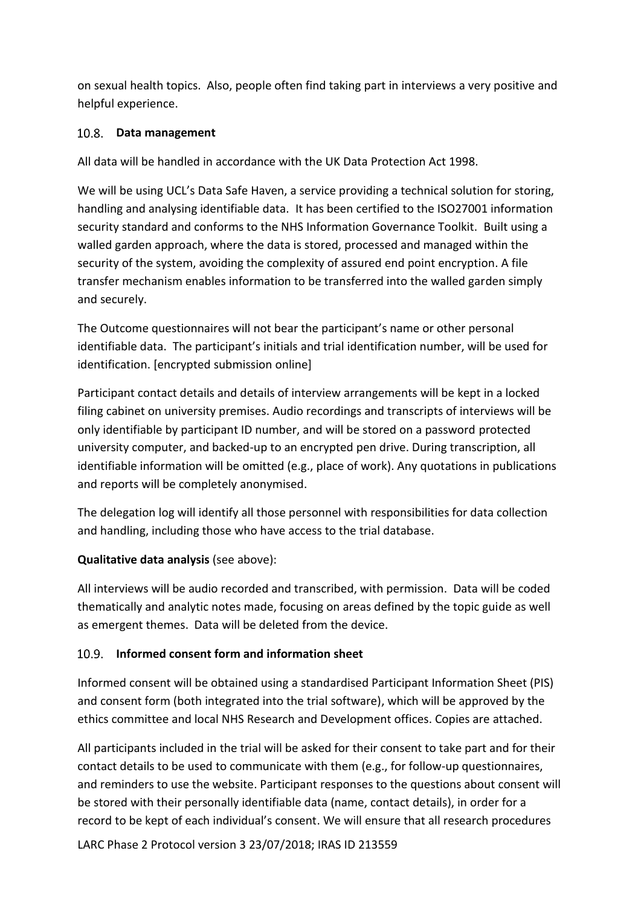on sexual health topics. Also, people often find taking part in interviews a very positive and helpful experience.

# <span id="page-31-0"></span>10.8. Data management

All data will be handled in accordance with the UK Data Protection Act 1998.

We will be using UCL's Data Safe Haven, a service providing a technical solution for storing, handling and analysing identifiable data. It has been certified to the ISO27001 information security standard and conforms to the NHS Information Governance Toolkit. Built using a walled garden approach, where the data is stored, processed and managed within the security of the system, avoiding the complexity of assured end point encryption. A file transfer mechanism enables information to be transferred into the walled garden simply and securely.

The Outcome questionnaires will not bear the participant's name or other personal identifiable data. The participant's initials and trial identification number, will be used for identification. [encrypted submission online]

Participant contact details and details of interview arrangements will be kept in a locked filing cabinet on university premises. Audio recordings and transcripts of interviews will be only identifiable by participant ID number, and will be stored on a password protected university computer, and backed-up to an encrypted pen drive. During transcription, all identifiable information will be omitted (e.g., place of work). Any quotations in publications and reports will be completely anonymised.

The delegation log will identify all those personnel with responsibilities for data collection and handling, including those who have access to the trial database.

# **Qualitative data analysis** (see above):

All interviews will be audio recorded and transcribed, with permission. Data will be coded thematically and analytic notes made, focusing on areas defined by the topic guide as well as emergent themes. Data will be deleted from the device.

# <span id="page-31-1"></span>**Informed consent form and information sheet**

Informed consent will be obtained using a standardised Participant Information Sheet (PIS) and consent form (both integrated into the trial software), which will be approved by the ethics committee and local NHS Research and Development offices. Copies are attached.

All participants included in the trial will be asked for their consent to take part and for their contact details to be used to communicate with them (e.g., for follow-up questionnaires, and reminders to use the website. Participant responses to the questions about consent will be stored with their personally identifiable data (name, contact details), in order for a record to be kept of each individual's consent. We will ensure that all research procedures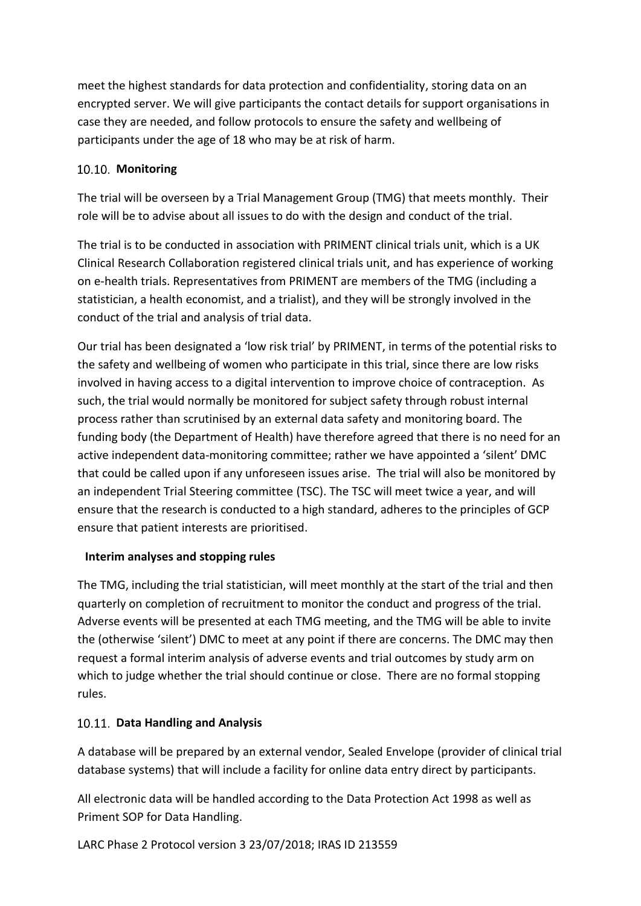meet the highest standards for data protection and confidentiality, storing data on an encrypted server. We will give participants the contact details for support organisations in case they are needed, and follow protocols to ensure the safety and wellbeing of participants under the age of 18 who may be at risk of harm.

# <span id="page-32-0"></span>10.10. Monitoring

The trial will be overseen by a Trial Management Group (TMG) that meets monthly. Their role will be to advise about all issues to do with the design and conduct of the trial.

The trial is to be conducted in association with PRIMENT clinical trials unit, which is a UK Clinical Research Collaboration registered clinical trials unit, and has experience of working on e-health trials. Representatives from PRIMENT are members of the TMG (including a statistician, a health economist, and a trialist), and they will be strongly involved in the conduct of the trial and analysis of trial data.

Our trial has been designated a 'low risk trial' by PRIMENT, in terms of the potential risks to the safety and wellbeing of women who participate in this trial, since there are low risks involved in having access to a digital intervention to improve choice of contraception. As such, the trial would normally be monitored for subject safety through robust internal process rather than scrutinised by an external data safety and monitoring board. The funding body (the Department of Health) have therefore agreed that there is no need for an active independent data-monitoring committee; rather we have appointed a 'silent' DMC that could be called upon if any unforeseen issues arise. The trial will also be monitored by an independent Trial Steering committee (TSC). The TSC will meet twice a year, and will ensure that the research is conducted to a high standard, adheres to the principles of GCP ensure that patient interests are prioritised.

#### **Interim analyses and stopping rules**

The TMG, including the trial statistician, will meet monthly at the start of the trial and then quarterly on completion of recruitment to monitor the conduct and progress of the trial. Adverse events will be presented at each TMG meeting, and the TMG will be able to invite the (otherwise 'silent') DMC to meet at any point if there are concerns. The DMC may then request a formal interim analysis of adverse events and trial outcomes by study arm on which to judge whether the trial should continue or close. There are no formal stopping rules.

#### <span id="page-32-1"></span>**Data Handling and Analysis**

A database will be prepared by an external vendor, Sealed Envelope (provider of clinical trial database systems) that will include a facility for online data entry direct by participants.

All electronic data will be handled according to the Data Protection Act 1998 as well as Priment SOP for Data Handling.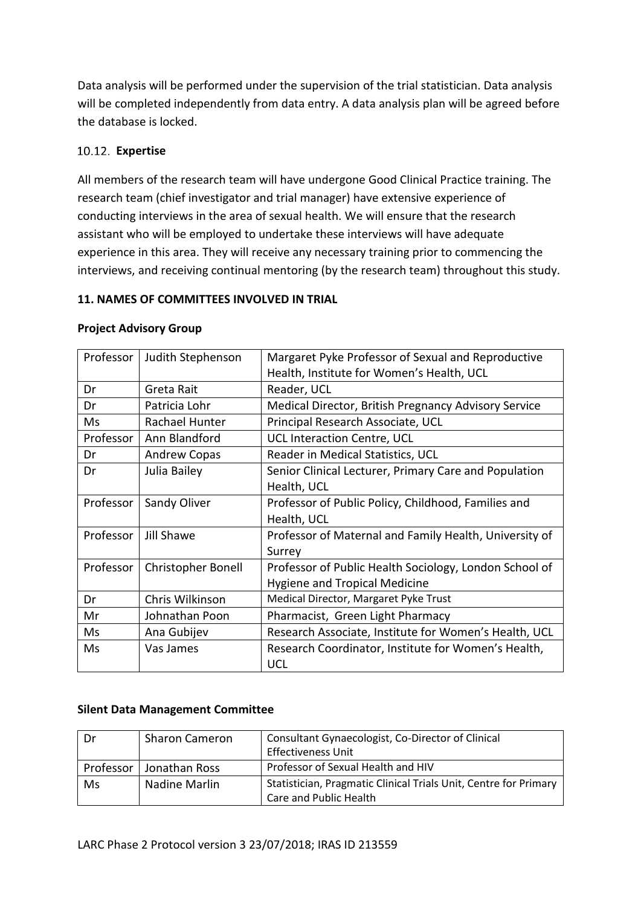Data analysis will be performed under the supervision of the trial statistician. Data analysis will be completed independently from data entry. A data analysis plan will be agreed before the database is locked.

# <span id="page-33-0"></span>**Expertise**

All members of the research team will have undergone Good Clinical Practice training. The research team (chief investigator and trial manager) have extensive experience of conducting interviews in the area of sexual health. We will ensure that the research assistant who will be employed to undertake these interviews will have adequate experience in this area. They will receive any necessary training prior to commencing the interviews, and receiving continual mentoring (by the research team) throughout this study.

#### <span id="page-33-1"></span>**11. NAMES OF COMMITTEES INVOLVED IN TRIAL**

| Professor | Judith Stephenson   | Margaret Pyke Professor of Sexual and Reproductive     |
|-----------|---------------------|--------------------------------------------------------|
|           |                     | Health, Institute for Women's Health, UCL              |
| Dr        | Greta Rait          | Reader, UCL                                            |
| Dr        | Patricia Lohr       | Medical Director, British Pregnancy Advisory Service   |
| Ms        | Rachael Hunter      | Principal Research Associate, UCL                      |
| Professor | Ann Blandford       | UCL Interaction Centre, UCL                            |
| Dr        | <b>Andrew Copas</b> | Reader in Medical Statistics, UCL                      |
| Dr        | Julia Bailey        | Senior Clinical Lecturer, Primary Care and Population  |
|           |                     | Health, UCL                                            |
| Professor | Sandy Oliver        | Professor of Public Policy, Childhood, Families and    |
|           |                     | Health, UCL                                            |
| Professor | Jill Shawe          | Professor of Maternal and Family Health, University of |
|           |                     | Surrey                                                 |
| Professor | Christopher Bonell  | Professor of Public Health Sociology, London School of |
|           |                     | <b>Hygiene and Tropical Medicine</b>                   |
| Dr        | Chris Wilkinson     | Medical Director, Margaret Pyke Trust                  |
| Mr        | Johnathan Poon      | Pharmacist, Green Light Pharmacy                       |
| Ms        | Ana Gubijev         | Research Associate, Institute for Women's Health, UCL  |
| Ms        | Vas James           | Research Coordinator, Institute for Women's Health,    |
|           |                     | <b>UCL</b>                                             |

#### **Project Advisory Group**

#### **Silent Data Management Committee**

| Dr        | <b>Sharon Cameron</b> | Consultant Gynaecologist, Co-Director of Clinical                |
|-----------|-----------------------|------------------------------------------------------------------|
|           |                       | <b>Effectiveness Unit</b>                                        |
| Professor | Jonathan Ross         | Professor of Sexual Health and HIV                               |
| Ms        | Nadine Marlin         | Statistician, Pragmatic Clinical Trials Unit, Centre for Primary |
|           |                       | Care and Public Health                                           |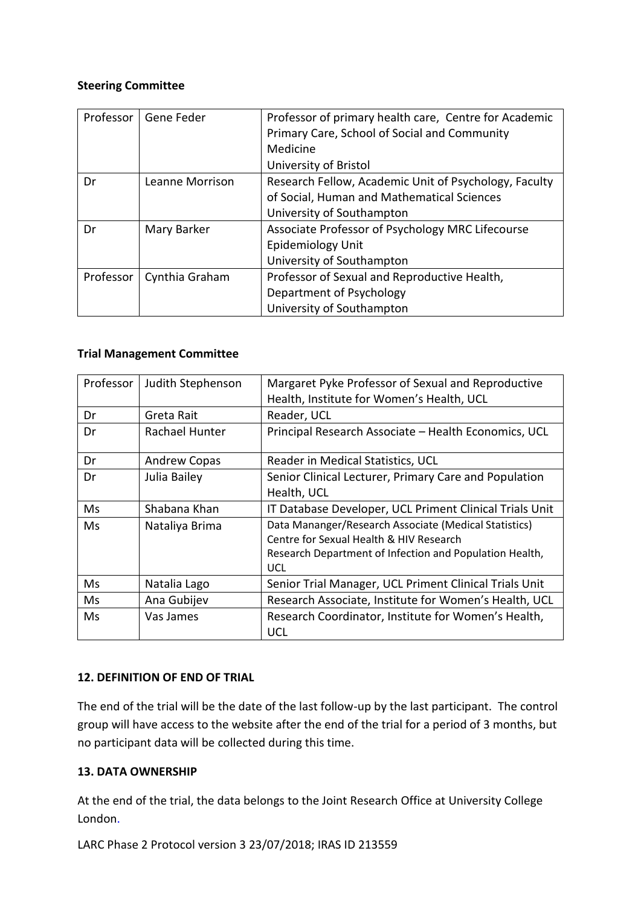#### **Steering Committee**

| Professor | Gene Feder      | Professor of primary health care, Centre for Academic<br>Primary Care, School of Social and Community<br>Medicine<br>University of Bristol |
|-----------|-----------------|--------------------------------------------------------------------------------------------------------------------------------------------|
| Dr        | Leanne Morrison | Research Fellow, Academic Unit of Psychology, Faculty<br>of Social, Human and Mathematical Sciences<br>University of Southampton           |
| Dr        | Mary Barker     | Associate Professor of Psychology MRC Lifecourse<br><b>Epidemiology Unit</b><br>University of Southampton                                  |
| Professor | Cynthia Graham  | Professor of Sexual and Reproductive Health,<br>Department of Psychology<br>University of Southampton                                      |

#### **Trial Management Committee**

| Professor | Judith Stephenson   | Margaret Pyke Professor of Sexual and Reproductive      |
|-----------|---------------------|---------------------------------------------------------|
|           |                     | Health, Institute for Women's Health, UCL               |
| Dr        | Greta Rait          | Reader, UCL                                             |
| Dr        | Rachael Hunter      | Principal Research Associate - Health Economics, UCL    |
| Dr        | <b>Andrew Copas</b> | Reader in Medical Statistics, UCL                       |
| Dr        | Julia Bailey        | Senior Clinical Lecturer, Primary Care and Population   |
|           |                     | Health, UCL                                             |
| Ms        | Shabana Khan        | IT Database Developer, UCL Priment Clinical Trials Unit |
| Ms        | Nataliya Brima      | Data Mananger/Research Associate (Medical Statistics)   |
|           |                     | Centre for Sexual Health & HIV Research                 |
|           |                     | Research Department of Infection and Population Health, |
|           |                     | <b>UCL</b>                                              |
| Ms        | Natalia Lago        | Senior Trial Manager, UCL Priment Clinical Trials Unit  |
| Ms        | Ana Gubijev         | Research Associate, Institute for Women's Health, UCL   |
| Ms        | Vas James           | Research Coordinator, Institute for Women's Health,     |
|           |                     | <b>UCL</b>                                              |

# <span id="page-34-0"></span>**12. DEFINITION OF END OF TRIAL**

The end of the trial will be the date of the last follow-up by the last participant. The control group will have access to the website after the end of the trial for a period of 3 months, but no participant data will be collected during this time.

#### <span id="page-34-1"></span>**13. DATA OWNERSHIP**

At the end of the trial, the data belongs to the Joint Research Office at University College London.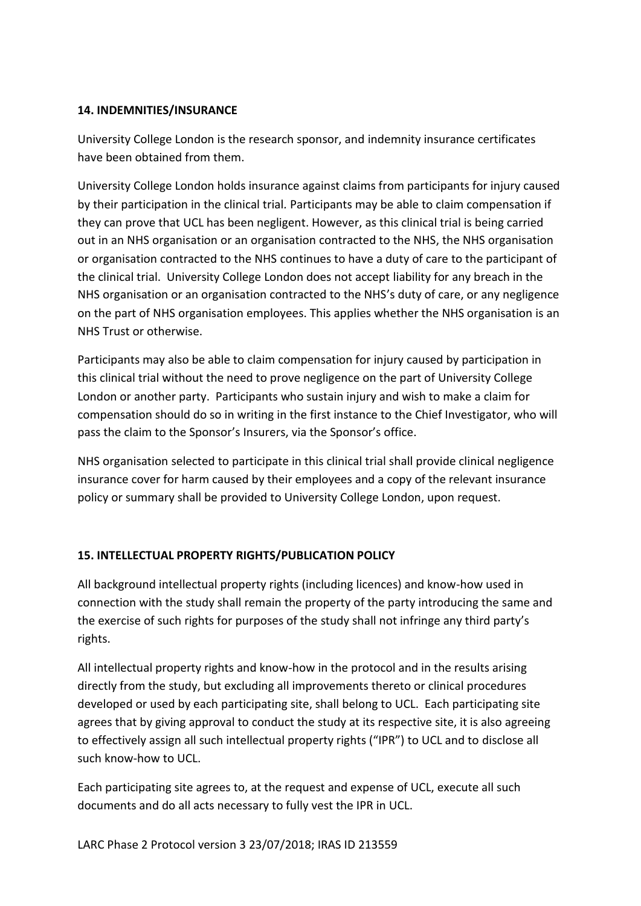#### <span id="page-35-0"></span>**14. INDEMNITIES/INSURANCE**

University College London is the research sponsor, and indemnity insurance certificates have been obtained from them.

University College London holds insurance against claims from participants for injury caused by their participation in the clinical trial*.* Participants may be able to claim compensation if they can prove that UCL has been negligent. However, as this clinical trial is being carried out in an NHS organisation or an organisation contracted to the NHS, the NHS organisation or organisation contracted to the NHS continues to have a duty of care to the participant of the clinical trial. University College London does not accept liability for any breach in the NHS organisation or an organisation contracted to the NHS's duty of care, or any negligence on the part of NHS organisation employees. This applies whether the NHS organisation is an NHS Trust or otherwise.

Participants may also be able to claim compensation for injury caused by participation in this clinical trial without the need to prove negligence on the part of University College London or another party. Participants who sustain injury and wish to make a claim for compensation should do so in writing in the first instance to the Chief Investigator, who will pass the claim to the Sponsor's Insurers, via the Sponsor's office.

NHS organisation selected to participate in this clinical trial shall provide clinical negligence insurance cover for harm caused by their employees and a copy of the relevant insurance policy or summary shall be provided to University College London, upon request.

#### <span id="page-35-1"></span>**15. INTELLECTUAL PROPERTY RIGHTS/PUBLICATION POLICY**

All background intellectual property rights (including licences) and know-how used in connection with the study shall remain the property of the party introducing the same and the exercise of such rights for purposes of the study shall not infringe any third party's rights.

All intellectual property rights and know-how in the protocol and in the results arising directly from the study, but excluding all improvements thereto or clinical procedures developed or used by each participating site, shall belong to UCL. Each participating site agrees that by giving approval to conduct the study at its respective site, it is also agreeing to effectively assign all such intellectual property rights ("IPR") to UCL and to disclose all such know-how to UCL.

Each participating site agrees to, at the request and expense of UCL, execute all such documents and do all acts necessary to fully vest the IPR in UCL.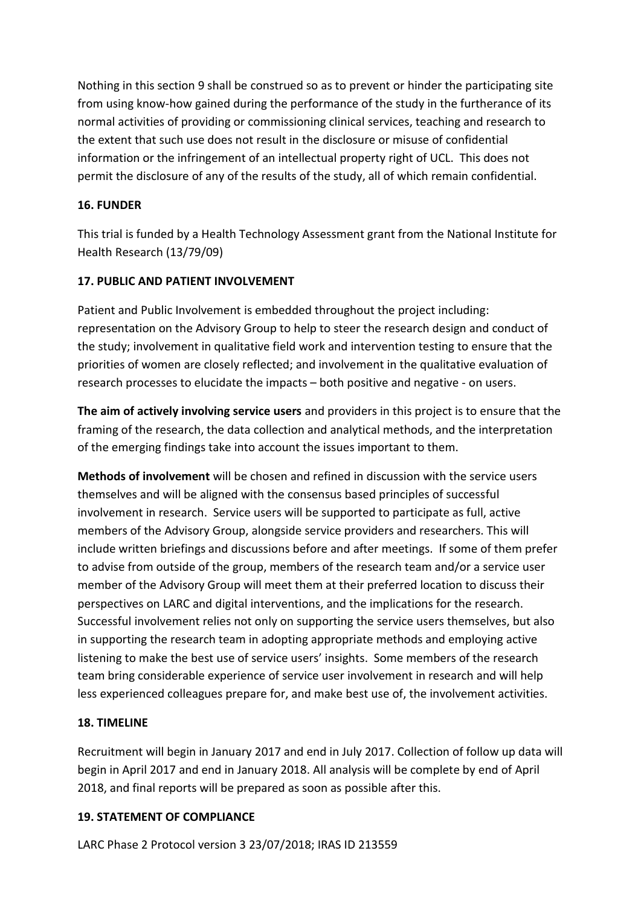Nothing in this section 9 shall be construed so as to prevent or hinder the participating site from using know-how gained during the performance of the study in the furtherance of its normal activities of providing or commissioning clinical services, teaching and research to the extent that such use does not result in the disclosure or misuse of confidential information or the infringement of an intellectual property right of UCL. This does not permit the disclosure of any of the results of the study, all of which remain confidential.

# <span id="page-36-0"></span>**16. FUNDER**

This trial is funded by a Health Technology Assessment grant from the National Institute for Health Research (13/79/09)

# <span id="page-36-1"></span>**17. PUBLIC AND PATIENT INVOLVEMENT**

Patient and Public Involvement is embedded throughout the project including: representation on the Advisory Group to help to steer the research design and conduct of the study; involvement in qualitative field work and intervention testing to ensure that the priorities of women are closely reflected; and involvement in the qualitative evaluation of research processes to elucidate the impacts – both positive and negative - on users.

**The aim of actively involving service users** and providers in this project is to ensure that the framing of the research, the data collection and analytical methods, and the interpretation of the emerging findings take into account the issues important to them.

**Methods of involvement** will be chosen and refined in discussion with the service users themselves and will be aligned with the consensus based principles of successful involvement in research. Service users will be supported to participate as full, active members of the Advisory Group, alongside service providers and researchers. This will include written briefings and discussions before and after meetings. If some of them prefer to advise from outside of the group, members of the research team and/or a service user member of the Advisory Group will meet them at their preferred location to discuss their perspectives on LARC and digital interventions, and the implications for the research. Successful involvement relies not only on supporting the service users themselves, but also in supporting the research team in adopting appropriate methods and employing active listening to make the best use of service users' insights. Some members of the research team bring considerable experience of service user involvement in research and will help less experienced colleagues prepare for, and make best use of, the involvement activities.

# <span id="page-36-2"></span>**18. TIMELINE**

Recruitment will begin in January 2017 and end in July 2017. Collection of follow up data will begin in April 2017 and end in January 2018. All analysis will be complete by end of April 2018, and final reports will be prepared as soon as possible after this.

# <span id="page-36-3"></span>**19. STATEMENT OF COMPLIANCE**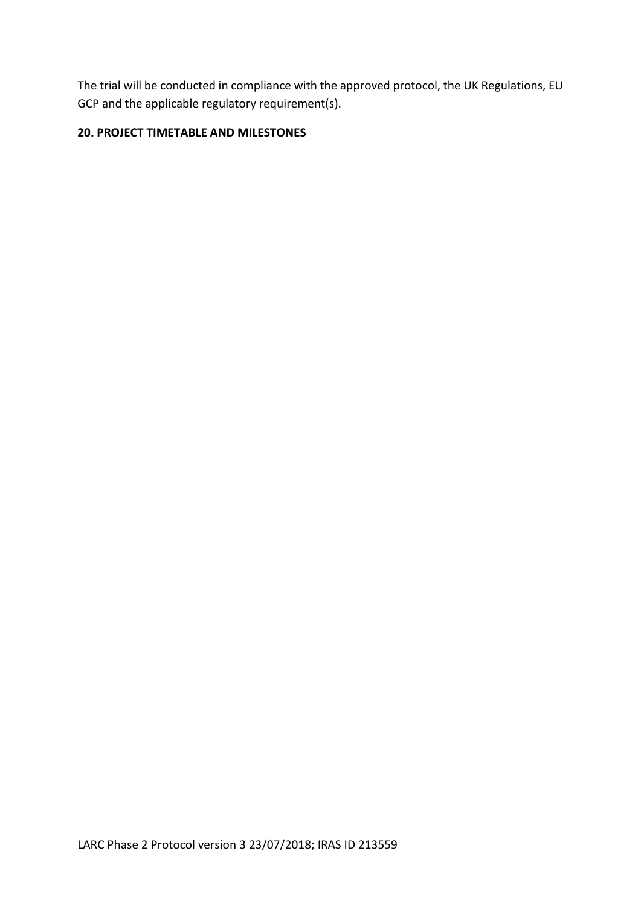The trial will be conducted in compliance with the approved protocol, the UK Regulations, EU GCP and the applicable regulatory requirement(s).

## <span id="page-37-0"></span>**20. PROJECT TIMETABLE AND MILESTONES**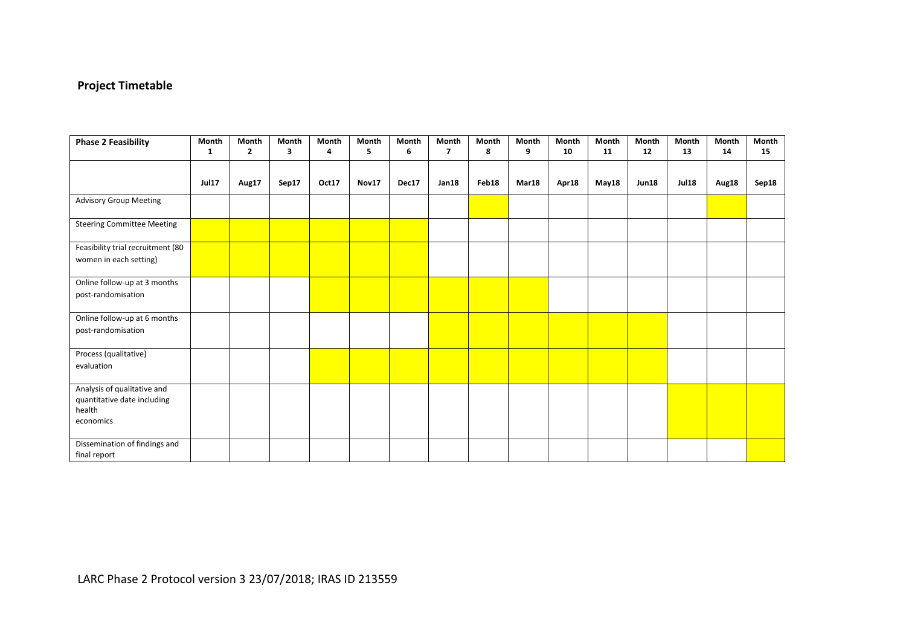# **Project Timetable**

| <b>Phase 2 Feasibility</b>                                                        | Month<br>$\mathbf{1}$ | <b>Month</b><br>$\overline{2}$ | Month<br>3 | Month<br>4 | Month<br>5 | Month<br>6 | Month<br>$\overline{\mathbf{z}}$ | Month<br>8 | Month<br>9 | Month<br>10 | Month<br>11 | Month<br>12  | Month<br>13  | <b>Month</b><br>14 | Month<br>15 |
|-----------------------------------------------------------------------------------|-----------------------|--------------------------------|------------|------------|------------|------------|----------------------------------|------------|------------|-------------|-------------|--------------|--------------|--------------------|-------------|
|                                                                                   |                       |                                |            |            |            |            |                                  |            |            |             |             |              |              |                    |             |
|                                                                                   | <b>Jul17</b>          | Aug17                          | Sep17      | Oct17      | Nov17      | Dec17      | Jan18                            | Feb18      | Mar18      | Apr18       | May18       | <b>Jun18</b> | <b>Jul18</b> | Aug18              | Sep18       |
| <b>Advisory Group Meeting</b>                                                     |                       |                                |            |            |            |            |                                  |            |            |             |             |              |              |                    |             |
| <b>Steering Committee Meeting</b>                                                 |                       |                                |            |            |            |            |                                  |            |            |             |             |              |              |                    |             |
| Feasibility trial recruitment (80<br>women in each setting)                       |                       |                                |            |            |            |            |                                  |            |            |             |             |              |              |                    |             |
| Online follow-up at 3 months<br>post-randomisation                                |                       |                                |            |            |            |            |                                  |            |            |             |             |              |              |                    |             |
| Online follow-up at 6 months<br>post-randomisation                                |                       |                                |            |            |            |            |                                  |            |            |             |             |              |              |                    |             |
| Process (qualitative)<br>evaluation                                               |                       |                                |            |            |            |            |                                  |            |            |             |             |              |              |                    |             |
| Analysis of qualitative and<br>quantitative date including<br>health<br>economics |                       |                                |            |            |            |            |                                  |            |            |             |             |              |              |                    |             |
| Dissemination of findings and<br>final report                                     |                       |                                |            |            |            |            |                                  |            |            |             |             |              |              |                    |             |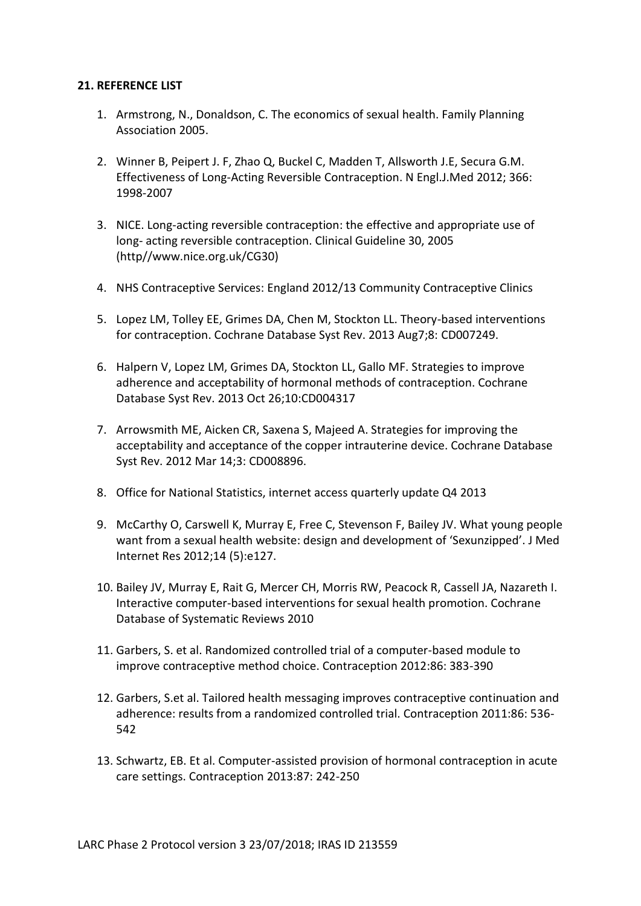#### <span id="page-39-0"></span>**21. REFERENCE LIST**

- 1. Armstrong, N., Donaldson, C. The economics of sexual health. Family Planning Association 2005.
- 2. Winner B, Peipert J. F, Zhao Q, Buckel C, Madden T, Allsworth J.E, Secura G.M. Effectiveness of Long-Acting Reversible Contraception. N Engl.J.Med 2012; 366: 1998-2007
- 3. NICE. Long-acting reversible contraception: the effective and appropriate use of long- acting reversible contraception. Clinical Guideline 30, 2005 (http//www.nice.org.uk/CG30)
- 4. NHS Contraceptive Services: England 2012/13 Community Contraceptive Clinics
- 5. Lopez LM, Tolley EE, Grimes DA, Chen M, Stockton LL. Theory-based interventions for contraception. Cochrane Database Syst Rev. 2013 Aug7;8: CD007249.
- 6. Halpern V, Lopez LM, Grimes DA, Stockton LL, Gallo MF. Strategies to improve adherence and acceptability of hormonal methods of contraception. Cochrane Database Syst Rev. 2013 Oct 26;10:CD004317
- 7. Arrowsmith ME, Aicken CR, Saxena S, Majeed A. Strategies for improving the acceptability and acceptance of the copper intrauterine device. Cochrane Database Syst Rev. 2012 Mar 14;3: CD008896.
- 8. Office for National Statistics, internet access quarterly update Q4 2013
- 9. McCarthy O, Carswell K, Murray E, Free C, Stevenson F, Bailey JV. What young people want from a sexual health website: design and development of 'Sexunzipped'. J Med Internet Res 2012;14 (5):e127.
- 10. Bailey JV, Murray E, Rait G, Mercer CH, Morris RW, Peacock R, Cassell JA, Nazareth I. Interactive computer-based interventions for sexual health promotion. Cochrane Database of Systematic Reviews 2010
- 11. Garbers, S. et al. Randomized controlled trial of a computer-based module to improve contraceptive method choice. Contraception 2012:86: 383-390
- 12. Garbers, S.et al. Tailored health messaging improves contraceptive continuation and adherence: results from a randomized controlled trial. Contraception 2011:86: 536- 542
- 13. Schwartz, EB. Et al. Computer-assisted provision of hormonal contraception in acute care settings. Contraception 2013:87: 242-250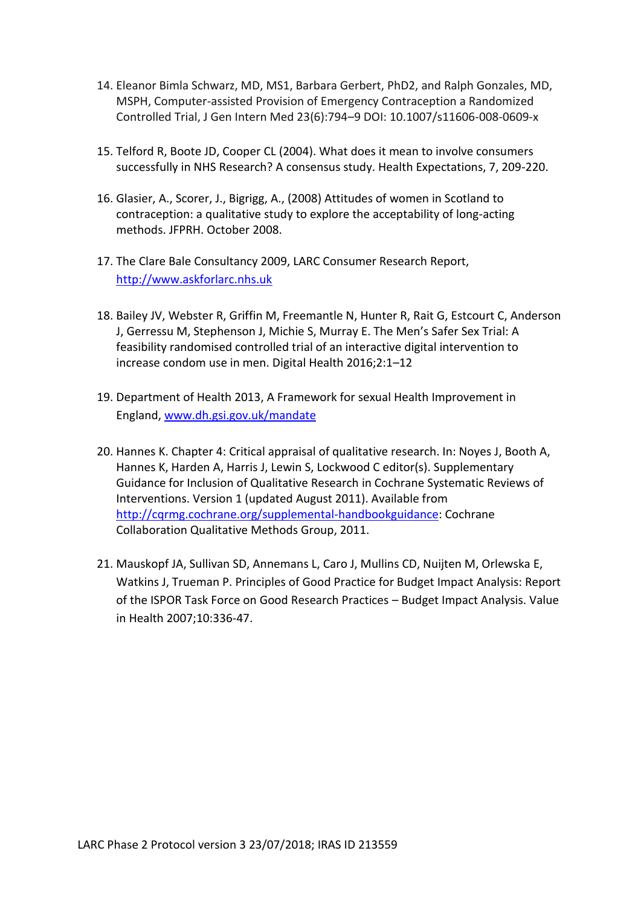- 14. Eleanor Bimla Schwarz, MD, MS1, Barbara Gerbert, PhD2, and Ralph Gonzales, MD, MSPH, Computer-assisted Provision of Emergency Contraception a Randomized Controlled Trial, J Gen Intern Med 23(6):794–9 DOI: 10.1007/s11606-008-0609-x
- 15. Telford R, Boote JD, Cooper CL (2004). What does it mean to involve consumers successfully in NHS Research? A consensus study. Health Expectations, 7, 209-220.
- 16. Glasier, A., Scorer, J., Bigrigg, A., (2008) Attitudes of women in Scotland to contraception: a qualitative study to explore the acceptability of long-acting methods. JFPRH. October 2008.
- 17. The Clare Bale Consultancy 2009, LARC Consumer Research Report, [http://www.askforlarc.nhs.uk](http://www.askforlarc.nhs.uk/)
- 18. Bailey JV, Webster R, Griffin M, Freemantle N, Hunter R, Rait G, Estcourt C, Anderson J, Gerressu M, Stephenson J, Michie S, Murray E. The Men's Safer Sex Trial: A feasibility randomised controlled trial of an interactive digital intervention to increase condom use in men. Digital Health 2016;2:1–12
- 19. Department of Health 2013, A Framework for sexual Health Improvement in England, [www.dh.gsi.gov.uk/mandate](http://www.dh.gsi.gov.uk/mandate)
- 20. Hannes K. Chapter 4: Critical appraisal of qualitative research. In: Noyes J, Booth A, Hannes K, Harden A, Harris J, Lewin S, Lockwood C editor(s). Supplementary Guidance for Inclusion of Qualitative Research in Cochrane Systematic Reviews of Interventions. Version 1 (updated August 2011). Available from [http://cqrmg.cochrane.org/supplemental-handbookguidance:](http://cqrmg.cochrane.org/supplemental-handbookguidance) Cochrane Collaboration Qualitative Methods Group, 2011.
- 21. Mauskopf JA, Sullivan SD, Annemans L, Caro J, Mullins CD, Nuijten M, Orlewska E, Watkins J, Trueman P. Principles of Good Practice for Budget Impact Analysis: Report of the ISPOR Task Force on Good Research Practices – Budget Impact Analysis. Value in Health 2007;10:336-47.